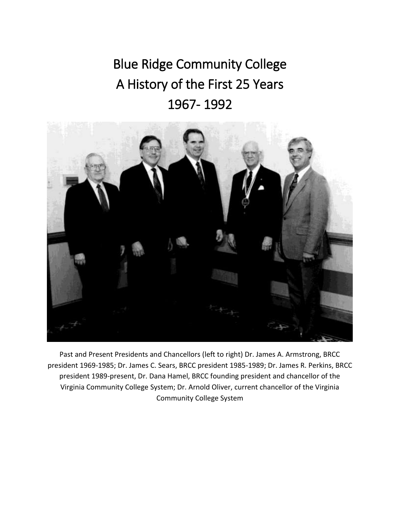Blue Ridge Community College A History of the First 25 Years 1967- 1992



Past and Present Presidents and Chancellors (left to right) Dr. James A. Armstrong, BRCC president 1969-1985; Dr. James C. Sears, BRCC president 1985-1989; Dr. James R. Perkins, BRCC president 1989-present, Dr. Dana Hamel, BRCC founding president and chancellor of the Virginia Community College System; Dr. Arnold Oliver, current chancellor of the Virginia Community College System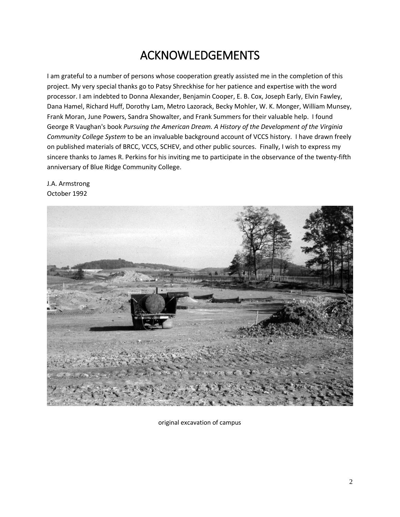### ACKNOWLEDGEMENTS

I am grateful to a number of persons whose cooperation greatly assisted me in the completion of this project. My very special thanks go to Patsy Shreckhise for her patience and expertise with the word processor. I am indebted to Donna Alexander, Benjamin Cooper, E. B. Cox, Joseph Early, Elvin Fawley, Dana Hamel, Richard Huff, Dorothy Lam, Metro Lazorack, Becky Mohler, W. K. Monger, William Munsey, Frank Moran, June Powers, Sandra Showalter, and Frank Summers for their valuable help. I found George R Vaughan's book *Pursuing the American Dream. A History of the Development of the Virginia Community College System* to be an invaluable background account of VCCS history. I have drawn freely on published materials of BRCC, VCCS, SCHEV, and other public sources. Finally, I wish to express my sincere thanks to James R. Perkins for his inviting me to participate in the observance of the twenty-fifth anniversary of Blue Ridge Community College.

J.A. Armstrong October 1992



original excavation of campus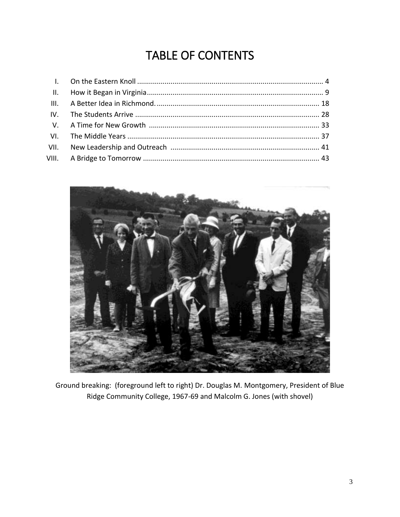# TABLE OF CONTENTS



Ground breaking: (foreground left to right) Dr. Douglas M. Montgomery, President of Blue Ridge Community College, 1967-69 and Malcolm G. Jones (with shovel)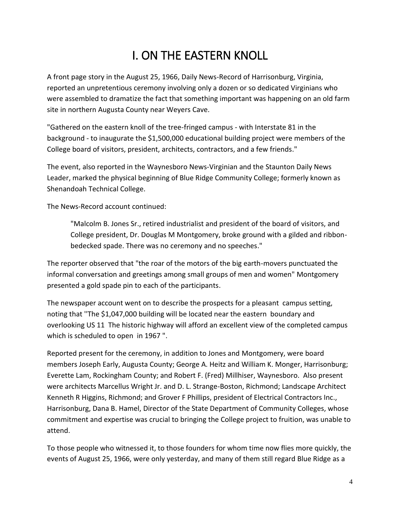# I. ON THE EASTERN KNOLL

A front page story in the August 25, 1966, Daily News-Record of Harrisonburg, Virginia, reported an unpretentious ceremony involving only a dozen or so dedicated Virginians who were assembled to dramatize the fact that something important was happening on an old farm site in northern Augusta County near Weyers Cave.

"Gathered on the eastern knoll of the tree-fringed campus - with Interstate 81 in the background - to inaugurate the \$1,500,000 educational building project were members of the College board of visitors, president, architects, contractors, and a few friends."

The event, also reported in the Waynesboro News-Virginian and the Staunton Daily News Leader, marked the physical beginning of Blue Ridge Community College; formerly known as Shenandoah Technical College.

The News-Record account continued:

"Malcolm B. Jones Sr., retired industrialist and president of the board of visitors, and College president, Dr. Douglas M Montgomery, broke ground with a gilded and ribbonbedecked spade. There was no ceremony and no speeches."

The reporter observed that "the roar of the motors of the big earth-movers punctuated the informal conversation and greetings among small groups of men and women" Montgomery presented a gold spade pin to each of the participants.

The newspaper account went on to describe the prospects for a pleasant campus setting, noting that ''The \$1,047,000 building will be located near the eastern boundary and overlooking US 11 The historic highway will afford an excellent view of the completed campus which is scheduled to open in 1967".

Reported present for the ceremony, in addition to Jones and Montgomery, were board members Joseph Early, Augusta County; George A. Heitz and William K. Monger, Harrisonburg; Everette Lam, Rockingham County; and Robert F. (Fred) Millhiser, Waynesboro. Also present were architects Marcellus Wright Jr. and D. L. Strange-Boston, Richmond; Landscape Architect Kenneth R Higgins, Richmond; and Grover F Phillips, president of Electrical Contractors Inc., Harrisonburg, Dana B. Hamel, Director of the State Department of Community Colleges, whose commitment and expertise was crucial to bringing the College project to fruition, was unable to attend.

To those people who witnessed it, to those founders for whom time now flies more quickly, the events of August 25, 1966, were only yesterday, and many of them still regard Blue Ridge as a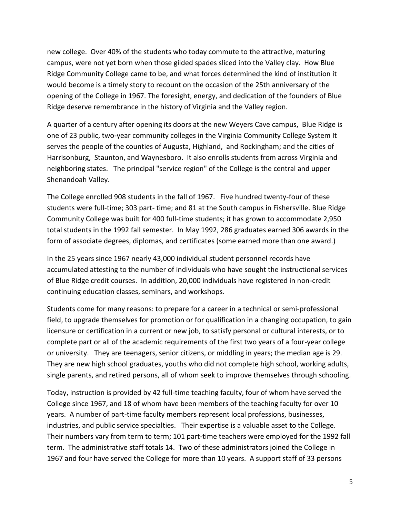new college. Over 40% of the students who today commute to the attractive, maturing campus, were not yet born when those gilded spades sliced into the Valley clay. How Blue Ridge Community College came to be, and what forces determined the kind of institution it would become is a timely story to recount on the occasion of the 25th anniversary of the opening of the College in 1967. The foresight, energy, and dedication of the founders of Blue Ridge deserve remembrance in the history of Virginia and the Valley region.

A quarter of a century after opening its doors at the new Weyers Cave campus, Blue Ridge is one of 23 public, two-year community colleges in the Virginia Community College System It serves the people of the counties of Augusta, Highland, and Rockingham; and the cities of Harrisonburg, Staunton, and Waynesboro. It also enrolls students from across Virginia and neighboring states. The principal "service region" of the College is the central and upper Shenandoah Valley.

The College enrolled 908 students in the fall of 1967. Five hundred twenty-four of these students were full-time; 303 part- time; and 81 at the South campus in Fishersville. Blue Ridge Community College was built for 400 full-time students; it has grown to accommodate 2,950 total students in the 1992 fall semester. In May 1992, 286 graduates earned 306 awards in the form of associate degrees, diplomas, and certificates (some earned more than one award.)

In the 25 years since 1967 nearly 43,000 individual student personnel records have accumulated attesting to the number of individuals who have sought the instructional services of Blue Ridge credit courses. In addition, 20,000 individuals have registered in non-credit continuing education classes, seminars, and workshops.

Students come for many reasons: to prepare for a career in a technical or semi-professional field, to upgrade themselves for promotion or for qualification in a changing occupation, to gain licensure or certification in a current or new job, to satisfy personal or cultural interests, or to complete part or all of the academic requirements of the first two years of a four-year college or university. They are teenagers, senior citizens, or middling in years; the median age is 29. They are new high school graduates, youths who did not complete high school, working adults, single parents, and retired persons, all of whom seek to improve themselves through schooling.

Today, instruction is provided by 42 full-time teaching faculty, four of whom have served the College since 1967, and 18 of whom have been members of the teaching faculty for over 10 years. A number of part-time faculty members represent local professions, businesses, industries, and public service specialties. Their expertise is a valuable asset to the College. Their numbers vary from term to term; 101 part-time teachers were employed for the 1992 fall term. The administrative staff totals 14. Two of these administrators joined the College in 1967 and four have served the College for more than 10 years. A support staff of 33 persons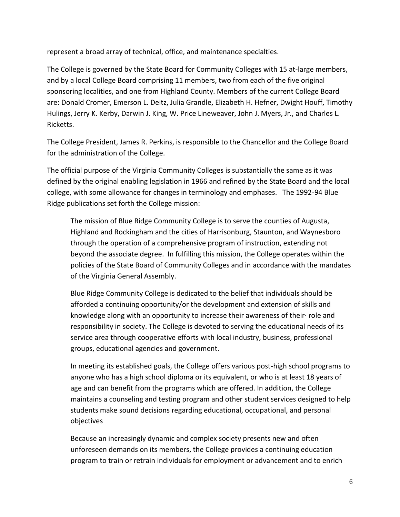represent a broad array of technical, office, and maintenance specialties.

The College is governed by the State Board for Community Colleges with 15 at-large members, and by a local College Board comprising 11 members, two from each of the five original sponsoring localities, and one from Highland County. Members of the current College Board are: Donald Cromer, Emerson L. Deitz, Julia Grandle, Elizabeth H. Hefner, Dwight Houff, Timothy Hulings, Jerry K. Kerby, Darwin J. King, W. Price Lineweaver, John J. Myers, Jr., and Charles L. Ricketts.

The College President, James R. Perkins, is responsible to the Chancellor and the College Board for the administration of the College.

The official purpose of the Virginia Community Colleges is substantially the same as it was defined by the original enabling legislation in 1966 and refined by the State Board and the local college, with some allowance for changes in terminology and emphases. The 1992-94 Blue Ridge publications set forth the College mission:

The mission of Blue Ridge Community College is to serve the counties of Augusta, Highland and Rockingham and the cities of Harrisonburg, Staunton, and Waynesboro through the operation of a comprehensive program of instruction, extending not beyond the associate degree. In fulfilling this mission, the College operates within the policies of the State Board of Community Colleges and in accordance with the mandates of the Virginia General Assembly.

Blue Ridge Community College is dedicated to the belief that individuals should be afforded a continuing opportunity/or the development and extension of skills and knowledge along with an opportunity to increase their awareness of their· role and responsibility in society. The College is devoted to serving the educational needs of its service area through cooperative efforts with local industry, business, professional groups, educational agencies and government.

In meeting its established goals, the College offers various post-high school programs to anyone who has a high school diploma or its equivalent, or who is at least 18 years of age and can benefit from the programs which are offered. In addition, the College maintains a counseling and testing program and other student services designed to help students make sound decisions regarding educational, occupational, and personal objectives

Because an increasingly dynamic and complex society presents new and often unforeseen demands on its members, the College provides a continuing education program to train or retrain individuals for employment or advancement and to enrich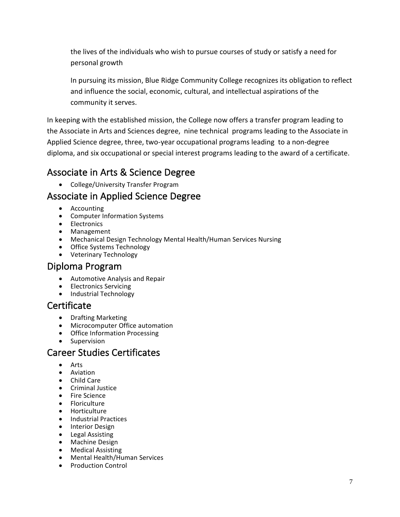the lives of the individuals who wish to pursue courses of study or satisfy a need for personal growth

In pursuing its mission, Blue Ridge Community College recognizes its obligation to reflect and influence the social, economic, cultural, and intellectual aspirations of the community it serves.

In keeping with the established mission, the College now offers a transfer program leading to the Associate in Arts and Sciences degree, nine technical programs leading to the Associate in Applied Science degree, three, two-year occupational programs leading to a non-degree diploma, and six occupational or special interest programs leading to the award of a certificate.

### Associate in Arts & Science Degree

College/University Transfer Program

### Associate in Applied Science Degree

- Accounting
- Computer Information Systems
- Electronics
- Management
- Mechanical Design Technology Mental Health/Human Services Nursing
- Office Systems Technology
- Veterinary Technology

#### Diploma Program

- Automotive Analysis and Repair
- Electronics Servicing
- Industrial Technology

#### **Certificate**

- Drafting Marketing
- Microcomputer Office automation
- Office Information Processing
- Supervision

#### Career Studies Certificates

- Arts
- Aviation
- Child Care
- **•** Criminal Justice
- Fire Science
- Floriculture
- Horticulture
- Industrial Practices
- Interior Design
- Legal Assisting
- Machine Design
- Medical Assisting
- Mental Health/Human Services
- Production Control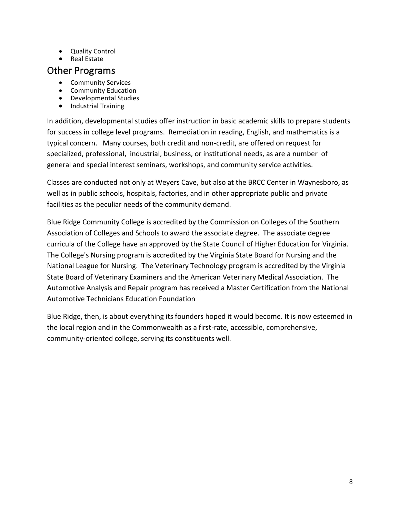- Quality Control
- $\bullet$  Real Estate

#### Other Programs

- **•** Community Services
- Community Education
- Developmental Studies
- Industrial Training

In addition, developmental studies offer instruction in basic academic skills to prepare students for success in college level programs. Remediation in reading, English, and mathematics is a typical concern. Many courses, both credit and non-credit, are offered on request for specialized, professional, industrial, business, or institutional needs, as are a number of general and special interest seminars, workshops, and community service activities.

Classes are conducted not only at Weyers Cave, but also at the BRCC Center in Waynesboro, as well as in public schools, hospitals, factories, and in other appropriate public and private facilities as the peculiar needs of the community demand.

Blue Ridge Community College is accredited by the Commission on Colleges of the Southern Association of Colleges and Schools to award the associate degree. The associate degree curricula of the College have an approved by the State Council of Higher Education for Virginia. The College's Nursing program is accredited by the Virginia State Board for Nursing and the National League for Nursing. The Veterinary Technology program is accredited by the Virginia State Board of Veterinary Examiners and the American Veterinary Medical Association. The Automotive Analysis and Repair program has received a Master Certification from the National Automotive Technicians Education Foundation

Blue Ridge, then, is about everything its founders hoped it would become. It is now esteemed in the local region and in the Commonwealth as a first-rate, accessible, comprehensive, community-oriented college, serving its constituents well.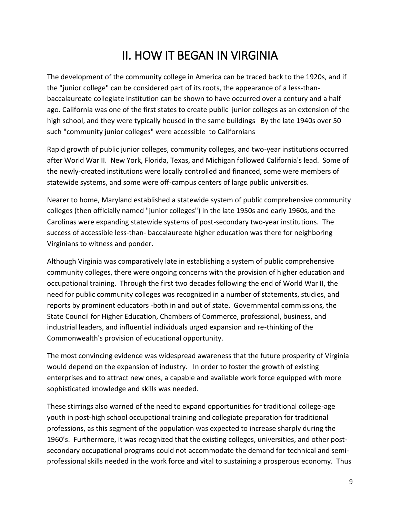### II. HOW IT BEGAN IN VIRGINIA

The development of the community college in America can be traced back to the 1920s, and if the "junior college" can be considered part of its roots, the appearance of a less-thanbaccalaureate collegiate institution can be shown to have occurred over a century and a half ago. California was one of the first states to create public junior colleges as an extension of the high school, and they were typically housed in the same buildings By the late 1940s over 50 such "community junior colleges" were accessible to Californians

Rapid growth of public junior colleges, community colleges, and two-year institutions occurred after World War II. New York, Florida, Texas, and Michigan followed California's lead. Some of the newly-created institutions were locally controlled and financed, some were members of statewide systems, and some were off-campus centers of large public universities.

Nearer to home, Maryland established a statewide system of public comprehensive community colleges (then officially named "junior colleges") in the late 1950s and early 1960s, and the Carolinas were expanding statewide systems of post-secondary two-year institutions. The success of accessible less-than- baccalaureate higher education was there for neighboring Virginians to witness and ponder.

Although Virginia was comparatively late in establishing a system of public comprehensive community colleges, there were ongoing concerns with the provision of higher education and occupational training. Through the first two decades following the end of World War II, the need for public community colleges was recognized in a number of statements, studies, and reports by prominent educators -both in and out of state. Governmental commissions, the State Council for Higher Education, Chambers of Commerce, professional, business, and industrial leaders, and influential individuals urged expansion and re-thinking of the Commonwealth's provision of educational opportunity.

The most convincing evidence was widespread awareness that the future prosperity of Virginia would depend on the expansion of industry. In order to foster the growth of existing enterprises and to attract new ones, a capable and available work force equipped with more sophisticated knowledge and skills was needed.

These stirrings also warned of the need to expand opportunities for traditional college-age youth in post-high school occupational training and collegiate preparation for traditional professions, as this segment of the population was expected to increase sharply during the 1960's. Furthermore, it was recognized that the existing colleges, universities, and other postsecondary occupational programs could not accommodate the demand for technical and semiprofessional skills needed in the work force and vital to sustaining a prosperous economy. Thus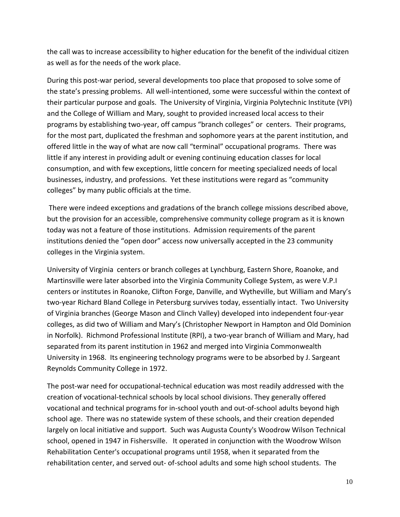the call was to increase accessibility to higher education for the benefit of the individual citizen as well as for the needs of the work place.

During this post-war period, several developments too place that proposed to solve some of the state's pressing problems. All well-intentioned, some were successful within the context of their particular purpose and goals. The University of Virginia, Virginia Polytechnic Institute (VPI) and the College of William and Mary, sought to provided increased local access to their programs by establishing two-year, off campus "branch colleges" or centers. Their programs, for the most part, duplicated the freshman and sophomore years at the parent institution, and offered little in the way of what are now call "terminal" occupational programs. There was little if any interest in providing adult or evening continuing education classes for local consumption, and with few exceptions, little concern for meeting specialized needs of local businesses, industry, and professions. Yet these institutions were regard as "community colleges" by many public officials at the time.

There were indeed exceptions and gradations of the branch college missions described above, but the provision for an accessible, comprehensive community college program as it is known today was not a feature of those institutions. Admission requirements of the parent institutions denied the "open door" access now universally accepted in the 23 community colleges in the Virginia system.

University of Virginia centers or branch colleges at Lynchburg, Eastern Shore, Roanoke, and Martinsville were later absorbed into the Virginia Community College System, as were V.P.I centers or institutes in Roanoke, Clifton Forge, Danville, and Wytheville, but William and Mary's two-year Richard Bland College in Petersburg survives today, essentially intact. Two University of Virginia branches (George Mason and Clinch Valley) developed into independent four-year colleges, as did two of William and Mary's (Christopher Newport in Hampton and Old Dominion in Norfolk). Richmond Professional Institute (RPI), a two-year branch of William and Mary, had separated from its parent institution in 1962 and merged into Virginia Commonwealth University in 1968. Its engineering technology programs were to be absorbed by J. Sargeant Reynolds Community College in 1972.

The post-war need for occupational-technical education was most readily addressed with the creation of vocational-technical schools by local school divisions. They generally offered vocational and technical programs for in-school youth and out-of-school adults beyond high school age. There was no statewide system of these schools, and their creation depended largely on local initiative and support. Such was Augusta County's Woodrow Wilson Technical school, opened in 1947 in Fishersville. It operated in conjunction with the Woodrow Wilson Rehabilitation Center's occupational programs until 1958, when it separated from the rehabilitation center, and served out- of-school adults and some high school students. The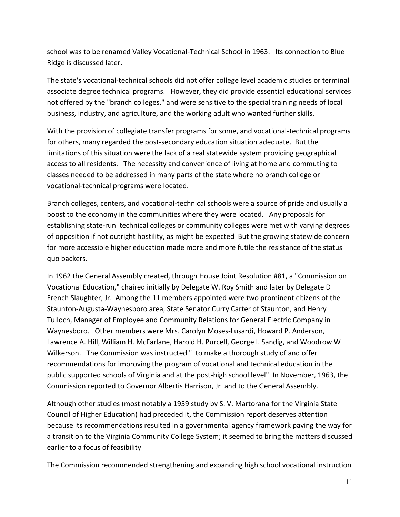school was to be renamed Valley Vocational-Technical School in 1963. Its connection to Blue Ridge is discussed later.

The state's vocational-technical schools did not offer college level academic studies or terminal associate degree technical programs. However, they did provide essential educational services not offered by the "branch colleges," and were sensitive to the special training needs of local business, industry, and agriculture, and the working adult who wanted further skills.

With the provision of collegiate transfer programs for some, and vocational-technical programs for others, many regarded the post-secondary education situation adequate. But the limitations of this situation were the lack of a real statewide system providing geographical access to all residents. The necessity and convenience of living at home and commuting to classes needed to be addressed in many parts of the state where no branch college or vocational-technical programs were located.

Branch colleges, centers, and vocational-technical schools were a source of pride and usually a boost to the economy in the communities where they were located. Any proposals for establishing state-run technical colleges or community colleges were met with varying degrees of opposition if not outright hostility, as might be expected But the growing statewide concern for more accessible higher education made more and more futile the resistance of the status quo backers.

In 1962 the General Assembly created, through House Joint Resolution #81, a "Commission on Vocational Education," chaired initially by Delegate W. Roy Smith and later by Delegate D French Slaughter, Jr. Among the 11 members appointed were two prominent citizens of the Staunton-Augusta-Waynesboro area, State Senator Curry Carter of Staunton, and Henry Tulloch, Manager of Employee and Community Relations for General Electric Company in Waynesboro. Other members were Mrs. Carolyn Moses-Lusardi, Howard P. Anderson, Lawrence A. Hill, William H. McFarlane, Harold H. Purcell, George I. Sandig, and Woodrow W Wilkerson. The Commission was instructed " to make a thorough study of and offer recommendations for improving the program of vocational and technical education in the public supported schools of Virginia and at the post-high school level" In November, 1963, the Commission reported to Governor Albertis Harrison, Jr and to the General Assembly.

Although other studies (most notably a 1959 study by S. V. Martorana for the Virginia State Council of Higher Education) had preceded it, the Commission report deserves attention because its recommendations resulted in a governmental agency framework paving the way for a transition to the Virginia Community College System; it seemed to bring the matters discussed earlier to a focus of feasibility

The Commission recommended strengthening and expanding high school vocational instruction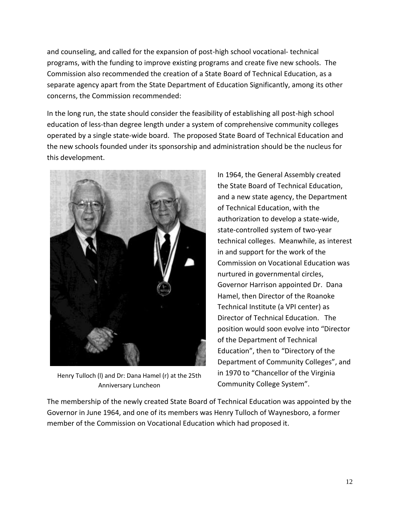and counseling, and called for the expansion of post-high school vocational- technical programs, with the funding to improve existing programs and create five new schools. The Commission also recommended the creation of a State Board of Technical Education, as a separate agency apart from the State Department of Education Significantly, among its other concerns, the Commission recommended:

In the long run, the state should consider the feasibility of establishing all post-high school education of less-than degree length under a system of comprehensive community colleges operated by a single state-wide board. The proposed State Board of Technical Education and the new schools founded under its sponsorship and administration should be the nucleus for this development.



Henry Tulloch (l) and Dr: Dana Hamel (r) at the 25th Anniversary Luncheon

In 1964, the General Assembly created the State Board of Technical Education, and a new state agency, the Department of Technical Education, with the authorization to develop a state-wide, state-controlled system of two-year technical colleges. Meanwhile, as interest in and support for the work of the Commission on Vocational Education was nurtured in governmental circles, Governor Harrison appointed Dr. Dana Hamel, then Director of the Roanoke Technical Institute (a VPI center) as Director of Technical Education. The position would soon evolve into "Director of the Department of Technical Education", then to "Directory of the Department of Community Colleges", and in 1970 to "Chancellor of the Virginia Community College System".

The membership of the newly created State Board of Technical Education was appointed by the Governor in June 1964, and one of its members was Henry Tulloch of Waynesboro, a former member of the Commission on Vocational Education which had proposed it.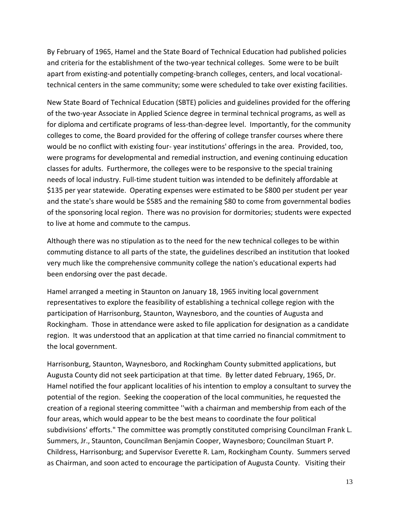By February of 1965, Hamel and the State Board of Technical Education had published policies and criteria for the establishment of the two-year technical colleges. Some were to be built apart from existing-and potentially competing-branch colleges, centers, and local vocationaltechnical centers in the same community; some were scheduled to take over existing facilities.

New State Board of Technical Education (SBTE) policies and guidelines provided for the offering of the two-year Associate in Applied Science degree in terminal technical programs, as well as for diploma and certificate programs of less-than-degree level. Importantly, for the community colleges to come, the Board provided for the offering of college transfer courses where there would be no conflict with existing four- year institutions' offerings in the area. Provided, too, were programs for developmental and remedial instruction, and evening continuing education classes for adults. Furthermore, the colleges were to be responsive to the special training needs of local industry. Full-time student tuition was intended to be definitely affordable at \$135 per year statewide. Operating expenses were estimated to be \$800 per student per year and the state's share would be \$585 and the remaining \$80 to come from governmental bodies of the sponsoring local region. There was no provision for dormitories; students were expected to live at home and commute to the campus.

Although there was no stipulation as to the need for the new technical colleges to be within commuting distance to all parts of the state, the guidelines described an institution that looked very much like the comprehensive community college the nation's educational experts had been endorsing over the past decade.

Hamel arranged a meeting in Staunton on January 18, 1965 inviting local government representatives to explore the feasibility of establishing a technical college region with the participation of Harrisonburg, Staunton, Waynesboro, and the counties of Augusta and Rockingham. Those in attendance were asked to file application for designation as a candidate region. It was understood that an application at that time carried no financial commitment to the local government.

Harrisonburg, Staunton, Waynesboro, and Rockingham County submitted applications, but Augusta County did not seek participation at that time. By letter dated February, 1965, Dr. Hamel notified the four applicant localities of his intention to employ a consultant to survey the potential of the region. Seeking the cooperation of the local communities, he requested the creation of a regional steering committee ''with a chairman and membership from each of the four areas, which would appear to be the best means to coordinate the four political subdivisions' efforts." The committee was promptly constituted comprising Councilman Frank L. Summers, Jr., Staunton, Councilman Benjamin Cooper, Waynesboro; Councilman Stuart P. Childress, Harrisonburg; and Supervisor Everette R. Lam, Rockingham County. Summers served as Chairman, and soon acted to encourage the participation of Augusta County. Visiting their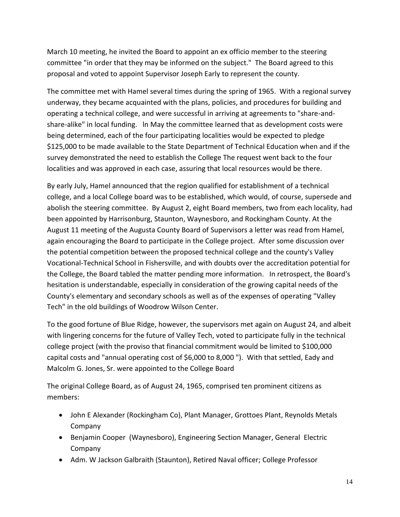March 10 meeting, he invited the Board to appoint an ex officio member to the steering committee "in order that they may be informed on the subject." The Board agreed to this proposal and voted to appoint Supervisor Joseph Early to represent the county.

The committee met with Hamel several times during the spring of 1965. With a regional survey underway, they became acquainted with the plans, policies, and procedures for building and operating a technical college, and were successful in arriving at agreements to "share-andshare-alike" in local funding. ln May the committee learned that as development costs were being determined, each of the four participating localities would be expected to pledge \$125,000 to be made available to the State Department of Technical Education when and if the survey demonstrated the need to establish the College The request went back to the four localities and was approved in each case, assuring that local resources would be there.

By early July, Hamel announced that the region qualified for establishment of a technical college, and a local College board was to be established, which would, of course, supersede and abolish the steering committee. By August 2, eight Board members, two from each locality, had been appointed by Harrisonburg, Staunton, Waynesboro, and Rockingham County. At the August 11 meeting of the Augusta County Board of Supervisors a letter was read from Hamel, again encouraging the Board to participate in the College project. After some discussion over the potential competition between the proposed technical college and the county's Valley Vocational-Technical School in Fishersville, and with doubts over the accreditation potential for the College, the Board tabled the matter pending more information. In retrospect, the Board's hesitation is understandable, especially in consideration of the growing capital needs of the County's elementary and secondary schools as well as of the expenses of operating "Valley Tech" in the old buildings of Woodrow Wilson Center.

To the good fortune of Blue Ridge, however, the supervisors met again on August 24, and albeit with lingering concerns for the future of Valley Tech, voted to participate fully in the technical college project (with the proviso that financial commitment would be limited to \$100,000 capital costs and "annual operating cost of \$6,000 to 8,000 "). With that settled, Eady and Malcolm G. Jones, Sr. were appointed to the College Board

The original College Board, as of August 24, 1965, comprised ten prominent citizens as members:

- John E Alexander (Rockingham Co), Plant Manager, Grottoes Plant, Reynolds Metals Company
- Benjamin Cooper (Waynesboro), Engineering Section Manager, General Electric Company
- Adm. W Jackson Galbraith (Staunton), Retired Naval officer; College Professor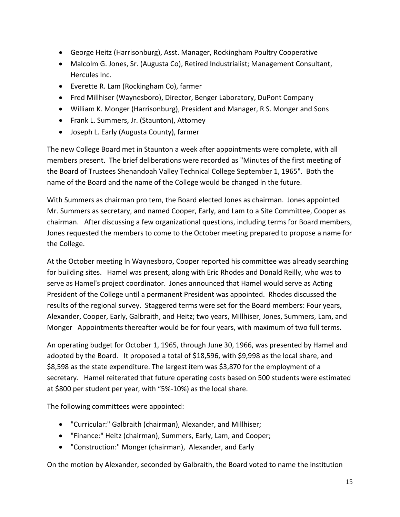- George Heitz (Harrisonburg), Asst. Manager, Rockingham Poultry Cooperative
- Malcolm G. Jones, Sr. (Augusta Co), Retired Industrialist; Management Consultant, Hercules Inc.
- Everette R. Lam (Rockingham Co), farmer
- Fred Millhiser (Waynesboro), Director, Benger Laboratory, DuPont Company
- William K. Monger (Harrisonburg), President and Manager, R S. Monger and Sons
- Frank L. Summers, Jr. (Staunton), Attorney
- Joseph L. Early (Augusta County), farmer

The new College Board met in Staunton a week after appointments were complete, with all members present. The brief deliberations were recorded as "Minutes of the first meeting of the Board of Trustees Shenandoah Valley Technical College September 1, 1965". Both the name of the Board and the name of the College would be changed ln the future.

With Summers as chairman pro tem, the Board elected Jones as chairman. Jones appointed Mr. Summers as secretary, and named Cooper, Early, and Lam to a Site Committee, Cooper as chairman. After discussing a few organizational questions, including terms for Board members, Jones requested the members to come to the October meeting prepared to propose a name for the College.

At the October meeting ln Waynesboro, Cooper reported his committee was already searching for building sites. Hamel was present, along with Eric Rhodes and Donald Reilly, who was to serve as Hamel's project coordinator. Jones announced that Hamel would serve as Acting President of the College until a permanent President was appointed. Rhodes discussed the results of the regional survey. Staggered terms were set for the Board members: Four years, Alexander, Cooper, Early, Galbraith, and Heitz; two years, Millhiser, Jones, Summers, Lam, and Monger Appointments thereafter would be for four years, with maximum of two full terms.

An operating budget for October 1, 1965, through June 30, 1966, was presented by Hamel and adopted by the Board. It proposed a total of \$18,596, with \$9,998 as the local share, and \$8,598 as the state expenditure. The largest item was \$3,870 for the employment of a secretary. Hamel reiterated that future operating costs based on 500 students were estimated at \$800 per student per year, with "5%-10%) as the local share.

The following committees were appointed:

- "Curricular:" Galbraith (chairman), Alexander, and Millhiser;
- "Finance:" Heitz (chairman), Summers, Early, Lam, and Cooper;
- "Construction:" Monger (chairman), Alexander, and Early

On the motion by Alexander, seconded by Galbraith, the Board voted to name the institution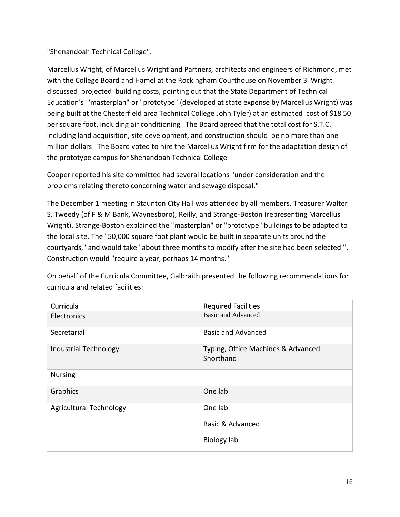"Shenandoah Technical College".

Marcellus Wright, of Marcellus Wright and Partners, architects and engineers of Richmond, met with the College Board and Hamel at the Rockingham Courthouse on November 3 Wright discussed projected building costs, pointing out that the State Department of Technical Education's "masterplan" or "prototype" (developed at state expense by Marcellus Wright) was being built at the Chesterfield area Technical College John Tyler) at an estimated cost of \$18 50 per square foot, including air conditioning The Board agreed that the total cost for S.T.C. including land acquisition, site development, and construction should be no more than one million dollars The Board voted to hire the Marcellus Wright firm for the adaptation design of the prototype campus for Shenandoah Technical College

Cooper reported his site committee had several locations "under consideration and the problems relating thereto concerning water and sewage disposal."

The December 1 meeting in Staunton City Hall was attended by all members, Treasurer Walter S. Tweedy (of F & M Bank, Waynesboro), Reilly, and Strange-Boston (representing Marcellus Wright). Strange-Boston explained the "masterplan" or "prototype" buildings to be adapted to the local site. The "50,000 square foot plant would be built in separate units around the courtyards," and would take "about three months to modify after the site had been selected ". Construction would "require a year, perhaps 14 months."

On behalf of the Curricula Committee, Galbraith presented the following recommendations for curricula and related facilities:

| Curricula                      | <b>Required Facilities</b>                      |
|--------------------------------|-------------------------------------------------|
| <b>Electronics</b>             | <b>Basic and Advanced</b>                       |
| Secretarial                    | <b>Basic and Advanced</b>                       |
| <b>Industrial Technology</b>   | Typing, Office Machines & Advanced<br>Shorthand |
| <b>Nursing</b>                 |                                                 |
| Graphics                       | One lab                                         |
| <b>Agricultural Technology</b> | One lab                                         |
|                                | <b>Basic &amp; Advanced</b>                     |
|                                | <b>Biology lab</b>                              |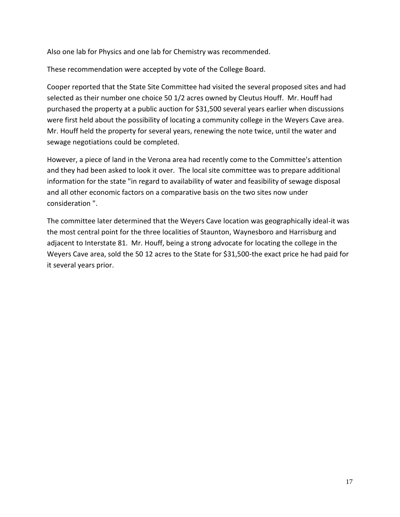Also one lab for Physics and one lab for Chemistry was recommended.

These recommendation were accepted by vote of the College Board.

Cooper reported that the State Site Committee had visited the several proposed sites and had selected as their number one choice 50 1/2 acres owned by Cleutus Houff. Mr. Houff had purchased the property at a public auction for \$31,500 several years earlier when discussions were first held about the possibility of locating a community college in the Weyers Cave area. Mr. Houff held the property for several years, renewing the note twice, until the water and sewage negotiations could be completed.

However, a piece of land in the Verona area had recently come to the Committee's attention and they had been asked to look it over. The local site committee was to prepare additional information for the state "in regard to availability of water and feasibility of sewage disposal and all other economic factors on a comparative basis on the two sites now under consideration ".

The committee later determined that the Weyers Cave location was geographically ideal-it was the most central point for the three localities of Staunton, Waynesboro and Harrisburg and adjacent to Interstate 81. Mr. Houff, being a strong advocate for locating the college in the Weyers Cave area, sold the 50 12 acres to the State for \$31,500-the exact price he had paid for it several years prior.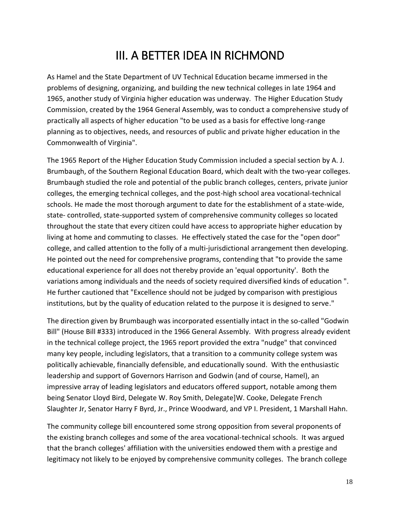### III. A BETTER IDEA IN RICHMOND

As Hamel and the State Department of UV Technical Education became immersed in the problems of designing, organizing, and building the new technical colleges in late 1964 and 1965, another study of Virginia higher education was underway. The Higher Education Study Commission, created by the 1964 General Assembly, was to conduct a comprehensive study of practically all aspects of higher education "to be used as a basis for effective long-range planning as to objectives, needs, and resources of public and private higher education in the Commonwealth of Virginia".

The 1965 Report of the Higher Education Study Commission included a special section by A. J. Brumbaugh, of the Southern Regional Education Board, which dealt with the two-year colleges. Brumbaugh studied the role and potential of the public branch colleges, centers, private junior colleges, the emerging technical colleges, and the post-high school area vocational-technical schools. He made the most thorough argument to date for the establishment of a state-wide, state- controlled, state-supported system of comprehensive community colleges so located throughout the state that every citizen could have access to appropriate higher education by living at home and commuting to classes. He effectively stated the case for the "open door" college, and called attention to the folly of a multi-jurisdictional arrangement then developing. He pointed out the need for comprehensive programs, contending that "to provide the same educational experience for all does not thereby provide an 'equal opportunity'. Both the variations among individuals and the needs of society required diversified kinds of education ". He further cautioned that "Excellence should not be judged by comparison with prestigious institutions, but by the quality of education related to the purpose it is designed to serve."

The direction given by Brumbaugh was incorporated essentially intact in the so-called "Godwin Bill" (House Bill #333) introduced in the 1966 General Assembly. With progress already evident in the technical college project, the 1965 report provided the extra "nudge" that convinced many key people, including legislators, that a transition to a community college system was politically achievable, financially defensible, and educationally sound. With the enthusiastic leadership and support of Governors Harrison and Godwin (and of course, Hamel), an impressive array of leading legislators and educators offered support, notable among them being Senator Lloyd Bird, Delegate W. Roy Smith, Delegate]W. Cooke, Delegate French Slaughter Jr, Senator Harry F Byrd, Jr., Prince Woodward, and VP I. President, 1 Marshall Hahn.

The community college bill encountered some strong opposition from several proponents of the existing branch colleges and some of the area vocational-technical schools. It was argued that the branch colleges' affiliation with the universities endowed them with a prestige and legitimacy not likely to be enjoyed by comprehensive community colleges. The branch college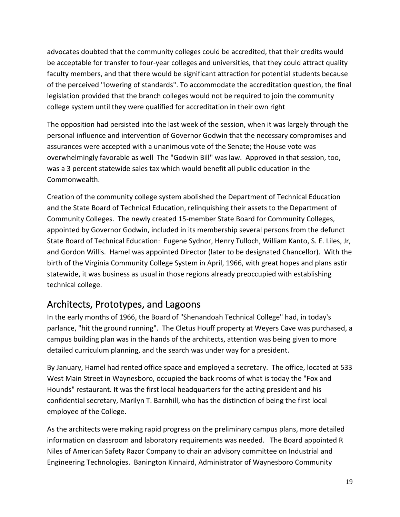advocates doubted that the community colleges could be accredited, that their credits would be acceptable for transfer to four-year colleges and universities, that they could attract quality faculty members, and that there would be significant attraction for potential students because of the perceived "lowering of standards". To accommodate the accreditation question, the final legislation provided that the branch colleges would not be required to join the community college system until they were qualified for accreditation in their own right

The opposition had persisted into the last week of the session, when it was largely through the personal influence and intervention of Governor Godwin that the necessary compromises and assurances were accepted with a unanimous vote of the Senate; the House vote was overwhelmingly favorable as well The "Godwin Bill" was law. Approved in that session, too, was a 3 percent statewide sales tax which would benefit all public education in the Commonwealth.

Creation of the community college system abolished the Department of Technical Education and the State Board of Technical Education, relinquishing their assets to the Department of Community Colleges. The newly created 15-member State Board for Community Colleges, appointed by Governor Godwin, included in its membership several persons from the defunct State Board of Technical Education: Eugene Sydnor, Henry Tulloch, William Kanto, S. E. Liles, Jr, and Gordon Willis. Hamel was appointed Director (later to be designated Chancellor). With the birth of the Virginia Community College System in April, 1966, with great hopes and plans astir statewide, it was business as usual in those regions already preoccupied with establishing technical college.

### Architects, Prototypes, and Lagoons

In the early months of 1966, the Board of "Shenandoah Technical College" had, in today's parlance, "hit the ground running". The Cletus Houff property at Weyers Cave was purchased, a campus building plan was in the hands of the architects, attention was being given to more detailed curriculum planning, and the search was under way for a president.

By January, Hamel had rented office space and employed a secretary. The office, located at 533 West Main Street in Waynesboro, occupied the back rooms of what is today the "Fox and Hounds" restaurant. It was the first local headquarters for the acting president and his confidential secretary, Marilyn T. Barnhill, who has the distinction of being the first local employee of the College.

As the architects were making rapid progress on the preliminary campus plans, more detailed information on classroom and laboratory requirements was needed. The Board appointed R Niles of American Safety Razor Company to chair an advisory committee on Industrial and Engineering Technologies. Banington Kinnaird, Administrator of Waynesboro Community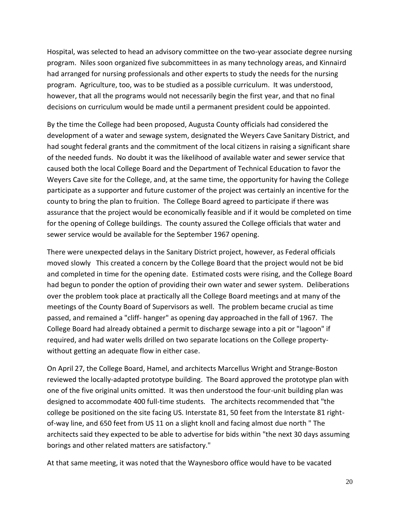Hospital, was selected to head an advisory committee on the two-year associate degree nursing program. Niles soon organized five subcommittees in as many technology areas, and Kinnaird had arranged for nursing professionals and other experts to study the needs for the nursing program. Agriculture, too, was to be studied as a possible curriculum. It was understood, however, that all the programs would not necessarily begin the first year, and that no final decisions on curriculum would be made until a permanent president could be appointed.

By the time the College had been proposed, Augusta County officials had considered the development of a water and sewage system, designated the Weyers Cave Sanitary District, and had sought federal grants and the commitment of the local citizens in raising a significant share of the needed funds. No doubt it was the likelihood of available water and sewer service that caused both the local College Board and the Department of Technical Education to favor the Weyers Cave site for the College, and, at the same time, the opportunity for having the College participate as a supporter and future customer of the project was certainly an incentive for the county to bring the plan to fruition. The College Board agreed to participate if there was assurance that the project would be economically feasible and if it would be completed on time for the opening of College buildings. The county assured the College officials that water and sewer service would be available for the September 1967 opening.

There were unexpected delays in the Sanitary District project, however, as Federal officials moved slowly This created a concern by the College Board that the project would not be bid and completed in time for the opening date. Estimated costs were rising, and the College Board had begun to ponder the option of providing their own water and sewer system. Deliberations over the problem took place at practically all the College Board meetings and at many of the meetings of the County Board of Supervisors as well. The problem became crucial as time passed, and remained a "cliff- hanger" as opening day approached in the fall of 1967. The College Board had already obtained a permit to discharge sewage into a pit or "lagoon" if required, and had water wells drilled on two separate locations on the College propertywithout getting an adequate flow in either case.

On April 27, the College Board, Hamel, and architects Marcellus Wright and Strange-Boston reviewed the locally-adapted prototype building. The Board approved the prototype plan with one of the five original units omitted. It was then understood the four-unit building plan was designed to accommodate 400 full-time students. The architects recommended that "the college be positioned on the site facing US. Interstate 81, 50 feet from the Interstate 81 rightof-way line, and 650 feet from US 11 on a slight knoll and facing almost due north " The architects said they expected to be able to advertise for bids within "the next 30 days assuming borings and other related matters are satisfactory."

At that same meeting, it was noted that the Waynesboro office would have to be vacated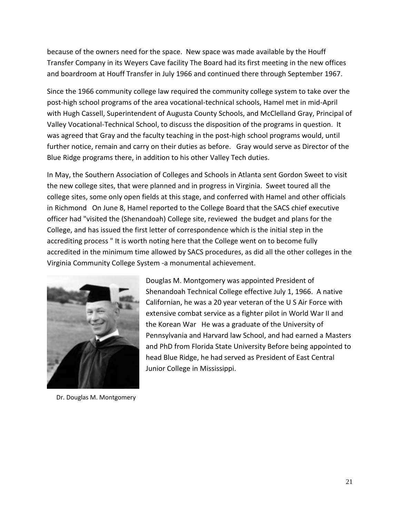because of the owners need for the space. New space was made available by the Houff Transfer Company in its Weyers Cave facility The Board had its first meeting in the new offices and boardroom at Houff Transfer in July 1966 and continued there through September 1967.

Since the 1966 community college law required the community college system to take over the post-high school programs of the area vocational-technical schools, Hamel met in mid-April with Hugh Cassell, Superintendent of Augusta County Schools, and McClelland Gray, Principal of Valley Vocational-Technical School, to discuss the disposition of the programs in question. It was agreed that Gray and the faculty teaching in the post-high school programs would, until further notice, remain and carry on their duties as before. Gray would serve as Director of the Blue Ridge programs there, in addition to his other Valley Tech duties.

In May, the Southern Association of Colleges and Schools in Atlanta sent Gordon Sweet to visit the new college sites, that were planned and in progress in Virginia. Sweet toured all the college sites, some only open fields at this stage, and conferred with Hamel and other officials in Richmond On June 8, Hamel reported to the College Board that the SACS chief executive officer had "visited the (Shenandoah) College site, reviewed the budget and plans for the College, and has issued the first letter of correspondence which is the initial step in the accrediting process " It is worth noting here that the College went on to become fully accredited in the minimum time allowed by SACS procedures, as did all the other colleges in the Virginia Community College System -a monumental achievement.



Dr. Douglas M. Montgomery

Douglas M. Montgomery was appointed President of Shenandoah Technical College effective July 1, 1966. A native Californian, he was a 20 year veteran of the U S Air Force with extensive combat service as a fighter pilot in World War II and the Korean War He was a graduate of the University of Pennsylvania and Harvard law School, and had earned a Masters and PhD from Florida State University Before being appointed to head Blue Ridge, he had served as President of East Central Junior College in Mississippi.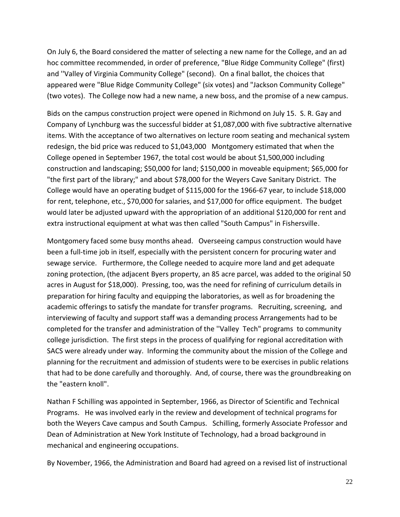On July 6, the Board considered the matter of selecting a new name for the College, and an ad hoc committee recommended, in order of preference, "Blue Ridge Community College" (first) and ''Valley of Virginia Community College" (second). On a final ballot, the choices that appeared were "Blue Ridge Community College" (six votes) and "Jackson Community College" (two votes). The College now had a new name, a new boss, and the promise of a new campus.

Bids on the campus construction project were opened in Richmond on July 15. S. R. Gay and Company of Lynchburg was the successful bidder at \$1,087,000 with five subtractive alternative items. With the acceptance of two alternatives on lecture room seating and mechanical system redesign, the bid price was reduced to \$1,043,000 Montgomery estimated that when the College opened in September 1967, the total cost would be about \$1,500,000 including construction and landscaping; \$50,000 for land; \$150,000 in moveable equipment; \$65,000 for "the first part of the library;" and about \$78,000 for the Weyers Cave Sanitary District. The College would have an operating budget of \$115,000 for the 1966-67 year, to include \$18,000 for rent, telephone, etc., \$70,000 for salaries, and \$17,000 for office equipment. The budget would later be adjusted upward with the appropriation of an additional \$120,000 for rent and extra instructional equipment at what was then called "South Campus" in Fishersville.

Montgomery faced some busy months ahead. Overseeing campus construction would have been a full-time job in itself, especially with the persistent concern for procuring water and sewage service. Furthermore, the College needed to acquire more land and get adequate zoning protection, (the adjacent Byers property, an 85 acre parcel, was added to the original 50 acres in August for \$18,000). Pressing, too, was the need for refining of curriculum details in preparation for hiring faculty and equipping the laboratories, as well as for broadening the academic offerings to satisfy the mandate for transfer programs. Recruiting, screening, and interviewing of faculty and support staff was a demanding process Arrangements had to be completed for the transfer and administration of the ''Valley Tech" programs to community college jurisdiction. The first steps in the process of qualifying for regional accreditation with SACS were already under way. Informing the community about the mission of the College and planning for the recruitment and admission of students were to be exercises in public relations that had to be done carefully and thoroughly. And, of course, there was the groundbreaking on the "eastern knoll".

Nathan F Schilling was appointed in September, 1966, as Director of Scientific and Technical Programs. He was involved early in the review and development of technical programs for both the Weyers Cave campus and South Campus. Schilling, formerly Associate Professor and Dean of Administration at New York Institute of Technology, had a broad background in mechanical and engineering occupations.

By November, 1966, the Administration and Board had agreed on a revised list of instructional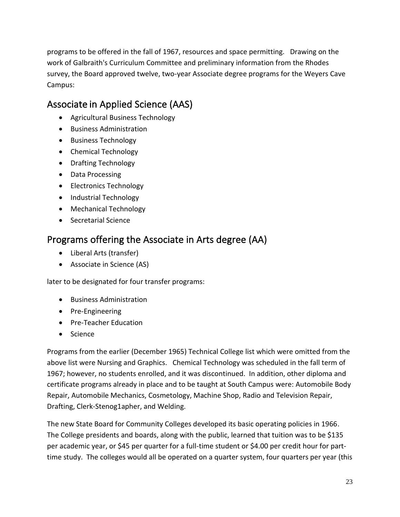programs to be offered in the fall of 1967, resources and space permitting. Drawing on the work of Galbraith's Curriculum Committee and preliminary information from the Rhodes survey, the Board approved twelve, two-year Associate degree programs for the Weyers Cave Campus:

### Associate in Applied Science (AAS)

- Agricultural Business Technology
- **•** Business Administration
- Business Technology
- Chemical Technology
- Drafting Technology
- Data Processing
- Electronics Technology
- Industrial Technology
- Mechanical Technology
- Secretarial Science

### Programs offering the Associate in Arts degree (AA)

- Liberal Arts (transfer)
- Associate in Science (AS)

later to be designated for four transfer programs:

- **•** Business Administration
- Pre-Engineering
- Pre-Teacher Education
- Science

Programs from the earlier (December 1965) Technical College list which were omitted from the above list were Nursing and Graphics. Chemical Technology was scheduled in the fall term of 1967; however, no students enrolled, and it was discontinued. In addition, other diploma and certificate programs already in place and to be taught at South Campus were: Automobile Body Repair, Automobile Mechanics, Cosmetology, Machine Shop, Radio and Television Repair, Drafting, Clerk-Stenog1apher, and Welding.

The new State Board for Community Colleges developed its basic operating policies in 1966. The College presidents and boards, along with the public, learned that tuition was to be \$135 per academic year, or \$45 per quarter for a full-time student or \$4.00 per credit hour for parttime study. The colleges would all be operated on a quarter system, four quarters per year (this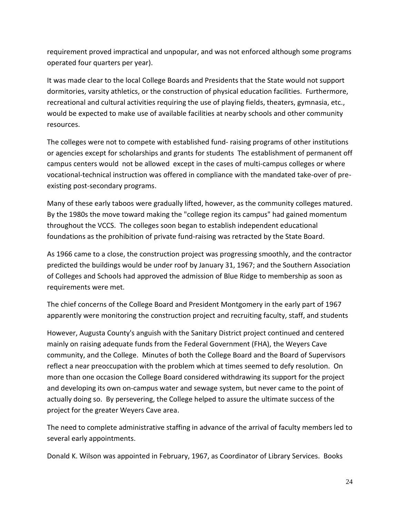requirement proved impractical and unpopular, and was not enforced although some programs operated four quarters per year).

It was made clear to the local College Boards and Presidents that the State would not support dormitories, varsity athletics, or the construction of physical education facilities. Furthermore, recreational and cultural activities requiring the use of playing fields, theaters, gymnasia, etc., would be expected to make use of available facilities at nearby schools and other community resources.

The colleges were not to compete with established fund- raising programs of other institutions or agencies except for scholarships and grants for students The establishment of permanent off campus centers would not be allowed except in the cases of multi-campus colleges or where vocational-technical instruction was offered in compliance with the mandated take-over of preexisting post-secondary programs.

Many of these early taboos were gradually lifted, however, as the community colleges matured. By the 1980s the move toward making the "college region its campus" had gained momentum throughout the VCCS. The colleges soon began to establish independent educational foundations as the prohibition of private fund-raising was retracted by the State Board.

As 1966 came to a close, the construction project was progressing smoothly, and the contractor predicted the buildings would be under roof by January 31, 1967; and the Southern Association of Colleges and Schools had approved the admission of Blue Ridge to membership as soon as requirements were met.

The chief concerns of the College Board and President Montgomery in the early part of 1967 apparently were monitoring the construction project and recruiting faculty, staff, and students

However, Augusta County's anguish with the Sanitary District project continued and centered mainly on raising adequate funds from the Federal Government (FHA), the Weyers Cave community, and the College. Minutes of both the College Board and the Board of Supervisors reflect a near preoccupation with the problem which at times seemed to defy resolution. On more than one occasion the College Board considered withdrawing its support for the project and developing its own on-campus water and sewage system, but never came to the point of actually doing so. By persevering, the College helped to assure the ultimate success of the project for the greater Weyers Cave area.

The need to complete administrative staffing in advance of the arrival of faculty members led to several early appointments.

Donald K. Wilson was appointed in February, 1967, as Coordinator of Library Services. Books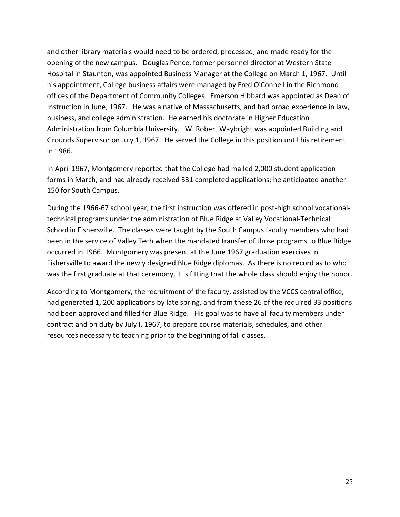and other library materials would need to be ordered, processed, and made ready for the opening of the new campus. Douglas Pence, former personnel director at Western State Hospital in Staunton, was appointed Business Manager at the College on March 1, 1967. Until his appointment, College business affairs were managed by Fred O'Connell in the Richmond offices of the Department of Community Colleges. Emerson Hibbard was appointed as Dean of Instruction in June, 1967. He was a native of Massachusetts, and had broad experience in law, business, and college administration. He earned his doctorate in Higher Education Administration from Columbia University. W. Robert Waybright was appointed Building and Grounds Supervisor on July 1, 1967. He served the College in this position until his retirement in 1986.

In April 1967, Montgomery reported that the College had mailed 2,000 student application forms in March, and had already received 331 completed applications; he anticipated another 150 for South Campus.

During the 1966-67 school year, the first instruction was offered in post-high school vocationaltechnical programs under the administration of Blue Ridge at Valley Vocational-Technical School in Fishersville. The classes were taught by the South Campus faculty members who had been in the service of Valley Tech when the mandated transfer of those programs to Blue Ridge occurred in 1966. Montgomery was present at the June 1967 graduation exercises in Fishersville to award the newly designed Blue Ridge diplomas. As there is no record as to who was the first graduate at that ceremony, it is fitting that the whole class should enjoy the honor.

According to Montgomery, the recruitment of the faculty, assisted by the VCCS central office, had generated 1, 200 applications by late spring, and from these 26 of the required 33 positions had been approved and filled for Blue Ridge. His goal was to have all faculty members under contract and on duty by July I, 1967, to prepare course materials, schedules, and other resources necessary to teaching prior to the beginning of fall classes.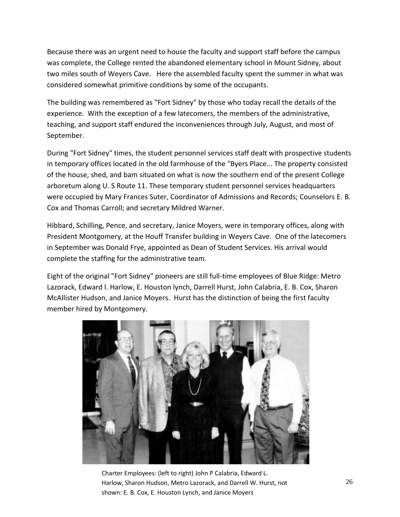Because there was an urgent need to house the faculty and support staff before the campus was complete, the College rented the abandoned elementary school in Mount Sidney, about two miles south of Weyers Cave. Here the assembled faculty spent the summer in what was considered somewhat primitive conditions by some of the occupants.

The building was remembered as "Fort Sidney" by those who today recall the details of the experience. With the exception of a few latecomers, the members of the administrative, teaching, and support staff endured the inconveniences through July, August, and most of September.

During "Fort Sidney" times, the student personnel services staff dealt with prospective students in temporary offices located in the old farmhouse of the "Byers Place... The property consisted of the house, shed, and bam situated on what is now the southern end of the present College arboretum along U. S Route 11. These temporary student personnel services headquarters were occupied by Mary Frances Suter, Coordinator of Admissions and Records; Counselors E. B. Cox and Thomas Carroll; and secretary Mildred Warner.

Hibbard, Schilling, Pence, and secretary, Janice Moyers, were in temporary offices, along with President Montgomery, at the Houff Transfer building in Weyers Cave. One of the latecomers in September was Donald Frye, appointed as Dean of Student Services. His arrival would complete the staffing for the administrative team.

Eight of the original "Fort Sidney" pioneers are still full-time employees of Blue Ridge: Metro Lazorack, Edward l. Harlow, E. Houston lynch, Darrell Hurst, John Calabria, E. B. Cox, Sharon McAllister Hudson, and Janice Moyers. Hurst has the distinction of being the first faculty member hired by Montgomery.



Charter Employees: (left to right) John P Calabria, Edward L. Harlow, Sharon Hudson, Metro Lazorack, and Darrell W. Hurst, not shown: E. B. Cox, E. Houston Lynch, and Janice Moyers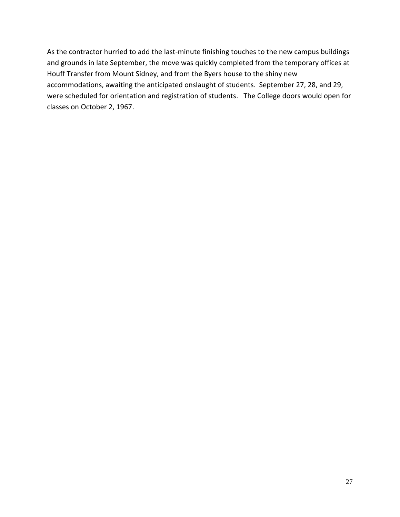As the contractor hurried to add the last-minute finishing touches to the new campus buildings and grounds in late September, the move was quickly completed from the temporary offices at Houff Transfer from Mount Sidney, and from the Byers house to the shiny new accommodations, awaiting the anticipated onslaught of students. September 27, 28, and 29, were scheduled for orientation and registration of students. The College doors would open for classes on October 2, 1967.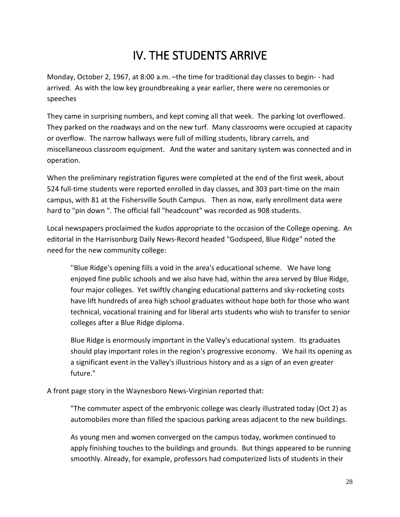# IV. THE STUDENTS ARRIVE

Monday, October 2, 1967, at 8:00 a.m. –the time for traditional day classes to begin- - had arrived. As with the low key groundbreaking a year earlier, there were no ceremonies or speeches

They came in surprising numbers, and kept coming all that week. The parking lot overflowed. They parked on the roadways and on the new turf. Many classrooms were occupied at capacity or overflow. The narrow hallways were full of milling students, library carrels, and miscellaneous classroom equipment. And the water and sanitary system was connected and in operation.

When the preliminary registration figures were completed at the end of the first week, about 524 full-time students were reported enrolled in day classes, and 303 part-time on the main campus, with 81 at the Fishersville South Campus. Then as now, early enrollment data were hard to "pin down ". The official fall "headcount" was recorded as 908 students.

Local newspapers proclaimed the kudos appropriate to the occasion of the College opening. An editorial in the Harrisonburg Daily News-Record headed "Godspeed, Blue Ridge" noted the need for the new community college:

''Blue Ridge's opening fills a void in the area's educational scheme. We have long enjoyed fine public schools and we also have had, within the area served by Blue Ridge, four major colleges. Yet swiftly changing educational patterns and sky-rocketing costs have lift hundreds of area high school graduates without hope both for those who want technical, vocational training and for liberal arts students who wish to transfer to senior colleges after a Blue Ridge diploma.

Blue Ridge is enormously important in the Valley's educational system. Its graduates should play important roles in the region's progressive economy. We hail its opening as a significant event in the Valley's illustrious history and as a sign of an even greater future."

A front page story in the Waynesboro News-Virginian reported that:

"The commuter aspect of the embryonic college was clearly illustrated today (Oct 2) as automobiles more than filled the spacious parking areas adjacent to the new buildings.

As young men and women converged on the campus today, workmen continued to apply finishing touches to the buildings and grounds. But things appeared to be running smoothly. Already, for example, professors had computerized lists of students in their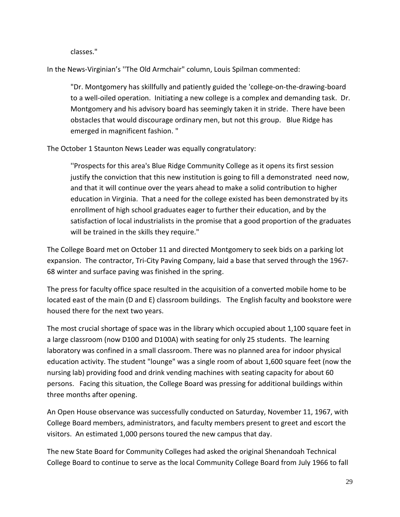classes."

In the News-Virginian's ''The Old Armchair" column, Louis Spilman commented:

"Dr. Montgomery has skillfully and patiently guided the 'college-on-the-drawing-board to a well-oiled operation. Initiating a new college is a complex and demanding task. Dr. Montgomery and his advisory board has seemingly taken it in stride. There have been obstacles that would discourage ordinary men, but not this group. Blue Ridge has emerged in magnificent fashion. "

The October 1 Staunton News Leader was equally congratulatory:

''Prospects for this area's Blue Ridge Community College as it opens its first session justify the conviction that this new institution is going to fill a demonstrated need now, and that it will continue over the years ahead to make a solid contribution to higher education in Virginia. That a need for the college existed has been demonstrated by its enrollment of high school graduates eager to further their education, and by the satisfaction of local industrialists in the promise that a good proportion of the graduates will be trained in the skills they require."

The College Board met on October 11 and directed Montgomery to seek bids on a parking lot expansion. The contractor, Tri-City Paving Company, laid a base that served through the 1967- 68 winter and surface paving was finished in the spring.

The press for faculty office space resulted in the acquisition of a converted mobile home to be located east of the main (D and E) classroom buildings. The English faculty and bookstore were housed there for the next two years.

The most crucial shortage of space was in the library which occupied about 1,100 square feet in a large classroom (now D100 and D100A) with seating for only 25 students. The learning laboratory was confined in a small classroom. There was no planned area for indoor physical education activity. The student "lounge" was a single room of about 1,600 square feet (now the nursing lab) providing food and drink vending machines with seating capacity for about 60 persons. Facing this situation, the College Board was pressing for additional buildings within three months after opening.

An Open House observance was successfully conducted on Saturday, November 11, 1967, with College Board members, administrators, and faculty members present to greet and escort the visitors. An estimated 1,000 persons toured the new campus that day.

The new State Board for Community Colleges had asked the original Shenandoah Technical College Board to continue to serve as the local Community College Board from July 1966 to fall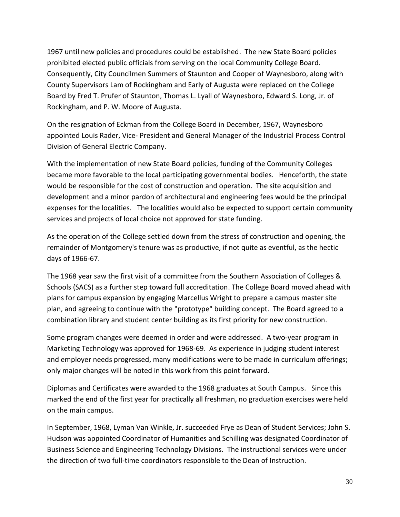1967 until new policies and procedures could be established. The new State Board policies prohibited elected public officials from serving on the local Community College Board. Consequently, City Councilmen Summers of Staunton and Cooper of Waynesboro, along with County Supervisors Lam of Rockingham and Early of Augusta were replaced on the College Board by Fred T. Prufer of Staunton, Thomas L. Lyall of Waynesboro, Edward S. Long, Jr. of Rockingham, and P. W. Moore of Augusta.

On the resignation of Eckman from the College Board in December, 1967, Waynesboro appointed Louis Rader, Vice- President and General Manager of the Industrial Process Control Division of General Electric Company.

With the implementation of new State Board policies, funding of the Community Colleges became more favorable to the local participating governmental bodies. Henceforth, the state would be responsible for the cost of construction and operation. The site acquisition and development and a minor pardon of architectural and engineering fees would be the principal expenses for the localities. The localities would also be expected to support certain community services and projects of local choice not approved for state funding.

As the operation of the College settled down from the stress of construction and opening, the remainder of Montgomery's tenure was as productive, if not quite as eventful, as the hectic days of 1966-67.

The 1968 year saw the first visit of a committee from the Southern Association of Colleges & Schools (SACS) as a further step toward full accreditation. The College Board moved ahead with plans for campus expansion by engaging Marcellus Wright to prepare a campus master site plan, and agreeing to continue with the "prototype" building concept. The Board agreed to a combination library and student center building as its first priority for new construction.

Some program changes were deemed in order and were addressed. A two-year program in Marketing Technology was approved for 1968-69. As experience in judging student interest and employer needs progressed, many modifications were to be made in curriculum offerings; only major changes will be noted in this work from this point forward.

Diplomas and Certificates were awarded to the 1968 graduates at South Campus. Since this marked the end of the first year for practically all freshman, no graduation exercises were held on the main campus.

In September, 1968, Lyman Van Winkle, Jr. succeeded Frye as Dean of Student Services; John S. Hudson was appointed Coordinator of Humanities and Schilling was designated Coordinator of Business Science and Engineering Technology Divisions. The instructional services were under the direction of two full-time coordinators responsible to the Dean of Instruction.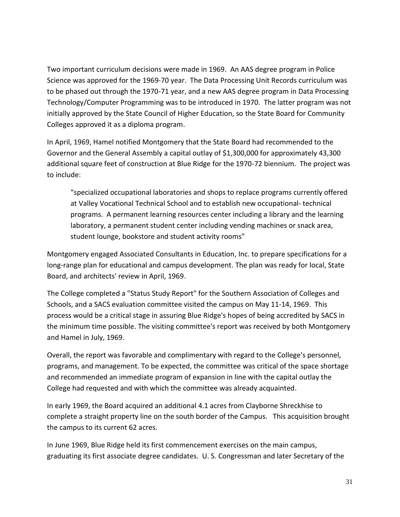Two important curriculum decisions were made in 1969. An AAS degree program in Police Science was approved for the 1969-70 year. The Data Processing Unit Records curriculum was to be phased out through the 1970-71 year, and a new AAS degree program in Data Processing Technology/Computer Programming was to be introduced in 1970. The latter program was not initially approved by the State Council of Higher Education, so the State Board for Community Colleges approved it as a diploma program.

In April, 1969, Hamel notified Montgomery that the State Board had recommended to the Governor and the General Assembly a capital outlay of \$1,300,000 for approximately 43,300 additional square feet of construction at Blue Ridge for the 1970-72 biennium. The project was to include:

"specialized occupational laboratories and shops to replace programs currently offered at Valley Vocational Technical School and to establish new occupational- technical programs. A permanent learning resources center including a library and the learning laboratory, a permanent student center including vending machines or snack area, student lounge, bookstore and student activity rooms"

Montgomery engaged Associated Consultants in Education, Inc. to prepare specifications for a long-range plan for educational and campus development. The plan was ready for local, State Board, and architects' review in April, 1969.

The College completed a "Status Study Report" for the Southern Association of Colleges and Schools, and a SACS evaluation committee visited the campus on May 11-14, 1969. This process would be a critical stage in assuring Blue Ridge's hopes of being accredited by SACS in the minimum time possible. The visiting committee's report was received by both Montgomery and Hamel in July, 1969.

Overall, the report was favorable and complimentary with regard to the College's personnel, programs, and management. To be expected, the committee was critical of the space shortage and recommended an immediate program of expansion in line with the capital outlay the College had requested and with which the committee was already acquainted.

In early 1969, the Board acquired an additional 4.1 acres from Clayborne Shreckhise to complete a straight property line on the south border of the Campus. This acquisition brought the campus to its current 62 acres.

In June 1969, Blue Ridge held its first commencement exercises on the main campus, graduating its first associate degree candidates. U. S. Congressman and later Secretary of the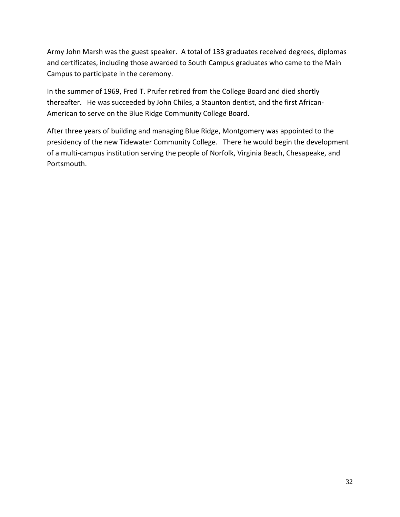Army John Marsh was the guest speaker. A total of 133 graduates received degrees, diplomas and certificates, including those awarded to South Campus graduates who came to the Main Campus to participate in the ceremony.

In the summer of 1969, Fred T. Prufer retired from the College Board and died shortly thereafter. He was succeeded by John Chiles, a Staunton dentist, and the first African-American to serve on the Blue Ridge Community College Board.

After three years of building and managing Blue Ridge, Montgomery was appointed to the presidency of the new Tidewater Community College. There he would begin the development of a multi-campus institution serving the people of Norfolk, Virginia Beach, Chesapeake, and Portsmouth.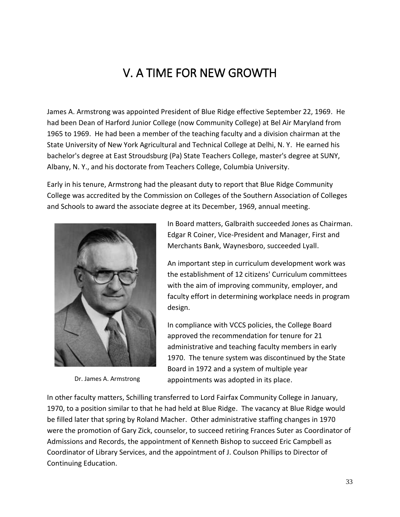### V. A TIME FOR NEW GROWTH

James A. Armstrong was appointed President of Blue Ridge effective September 22, 1969. He had been Dean of Harford Junior College (now Community College) at Bel Air Maryland from 1965 to 1969. He had been a member of the teaching faculty and a division chairman at the State University of New York Agricultural and Technical College at Delhi, N. Y. He earned his bachelor's degree at East Stroudsburg (Pa) State Teachers College, master's degree at SUNY, Albany, N. Y., and his doctorate from Teachers College, Columbia University.

Early in his tenure, Armstrong had the pleasant duty to report that Blue Ridge Community College was accredited by the Commission on Colleges of the Southern Association of Colleges and Schools to award the associate degree at its December, 1969, annual meeting.



Dr. James A. Armstrong

In Board matters, Galbraith succeeded Jones as Chairman. Edgar R Coiner, Vice-President and Manager, First and Merchants Bank, Waynesboro, succeeded Lyall.

An important step in curriculum development work was the establishment of 12 citizens' Curriculum committees with the aim of improving community, employer, and faculty effort in determining workplace needs in program design.

In compliance with VCCS policies, the College Board approved the recommendation for tenure for 21 administrative and teaching faculty members in early 1970. The tenure system was discontinued by the State Board in 1972 and a system of multiple year appointments was adopted in its place.

In other faculty matters, Schilling transferred to Lord Fairfax Community College in January, 1970, to a position similar to that he had held at Blue Ridge. The vacancy at Blue Ridge would be filled later that spring by Roland Macher. Other administrative staffing changes in 1970 were the promotion of Gary Zick, counselor, to succeed retiring Frances Suter as Coordinator of Admissions and Records, the appointment of Kenneth Bishop to succeed Eric Campbell as Coordinator of Library Services, and the appointment of J. Coulson Phillips to Director of Continuing Education.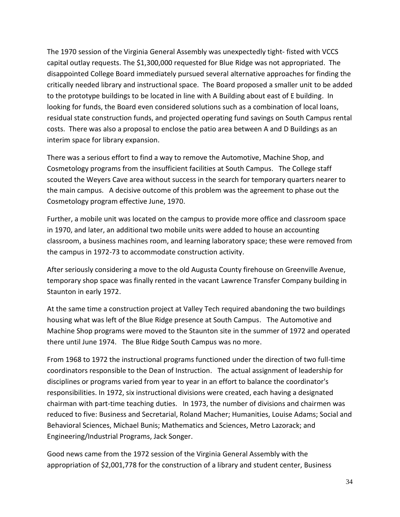The 1970 session of the Virginia General Assembly was unexpectedly tight- fisted with VCCS capital outlay requests. The \$1,300,000 requested for Blue Ridge was not appropriated. The disappointed College Board immediately pursued several alternative approaches for finding the critically needed library and instructional space. The Board proposed a smaller unit to be added to the prototype buildings to be located in line with A Building about east of E building. In looking for funds, the Board even considered solutions such as a combination of local loans, residual state construction funds, and projected operating fund savings on South Campus rental costs. There was also a proposal to enclose the patio area between A and D Buildings as an interim space for library expansion.

There was a serious effort to find a way to remove the Automotive, Machine Shop, and Cosmetology programs from the insufficient facilities at South Campus. The College staff scouted the Weyers Cave area without success in the search for temporary quarters nearer to the main campus. A decisive outcome of this problem was the agreement to phase out the Cosmetology program effective June, 1970.

Further, a mobile unit was located on the campus to provide more office and classroom space in 1970, and later, an additional two mobile units were added to house an accounting classroom, a business machines room, and learning laboratory space; these were removed from the campus in 1972-73 to accommodate construction activity.

After seriously considering a move to the old Augusta County firehouse on Greenville Avenue, temporary shop space was finally rented in the vacant Lawrence Transfer Company building in Staunton in early 1972.

At the same time a construction project at Valley Tech required abandoning the two buildings housing what was left of the Blue Ridge presence at South Campus. The Automotive and Machine Shop programs were moved to the Staunton site in the summer of 1972 and operated there until June 1974. The Blue Ridge South Campus was no more.

From 1968 to 1972 the instructional programs functioned under the direction of two full-time coordinators responsible to the Dean of Instruction. The actual assignment of leadership for disciplines or programs varied from year to year in an effort to balance the coordinator's responsibilities. In 1972, six instructional divisions were created, each having a designated chairman with part-time teaching duties. In 1973, the number of divisions and chairmen was reduced to five: Business and Secretarial, Roland Macher; Humanities, Louise Adams; Social and Behavioral Sciences, Michael Bunis; Mathematics and Sciences, Metro Lazorack; and Engineering/Industrial Programs, Jack Songer.

Good news came from the 1972 session of the Virginia General Assembly with the appropriation of \$2,001,778 for the construction of a library and student center, Business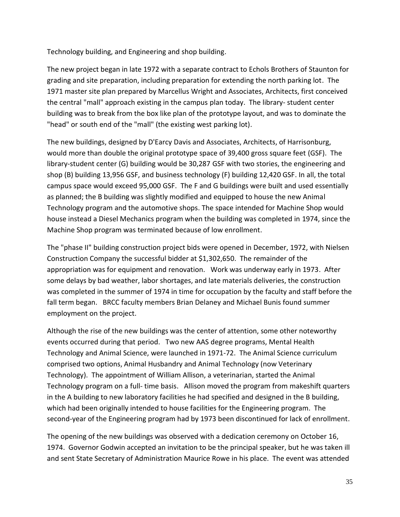Technology building, and Engineering and shop building.

The new project began in late 1972 with a separate contract to Echols Brothers of Staunton for grading and site preparation, including preparation for extending the north parking lot. The 1971 master site plan prepared by Marcellus Wright and Associates, Architects, first conceived the central "mall" approach existing in the campus plan today. The library- student center building was to break from the box like plan of the prototype layout, and was to dominate the "head" or south end of the "mall" (the existing west parking lot).

The new buildings, designed by D'Earcy Davis and Associates, Architects, of Harrisonburg, would more than double the original prototype space of 39,400 gross square feet (GSF). The library-student center (G) building would be 30,287 GSF with two stories, the engineering and shop (B) building 13,956 GSF, and business technology (F) building 12,420 GSF. In all, the total campus space would exceed 95,000 GSF. The F and G buildings were built and used essentially as planned; the B building was slightly modified and equipped to house the new Animal Technology program and the automotive shops. The space intended for Machine Shop would house instead a Diesel Mechanics program when the building was completed in 1974, since the Machine Shop program was terminated because of low enrollment.

The "phase II" building construction project bids were opened in December, 1972, with Nielsen Construction Company the successful bidder at \$1,302,650. The remainder of the appropriation was for equipment and renovation. Work was underway early in 1973. After some delays by bad weather, labor shortages, and late materials deliveries, the construction was completed in the summer of 1974 in time for occupation by the faculty and staff before the fall term began. BRCC faculty members Brian Delaney and Michael Bunis found summer employment on the project.

Although the rise of the new buildings was the center of attention, some other noteworthy events occurred during that period. Two new AAS degree programs, Mental Health Technology and Animal Science, were launched in 1971-72. The Animal Science curriculum comprised two options, Animal Husbandry and Animal Technology (now Veterinary Technology). The appointment of William Allison, a veterinarian, started the Animal Technology program on a full- time basis. Allison moved the program from makeshift quarters in the A building to new laboratory facilities he had specified and designed in the B building, which had been originally intended to house facilities for the Engineering program. The second-year of the Engineering program had by 1973 been discontinued for lack of enrollment.

The opening of the new buildings was observed with a dedication ceremony on October 16, 1974. Governor Godwin accepted an invitation to be the principal speaker, but he was taken ill and sent State Secretary of Administration Maurice Rowe in his place. The event was attended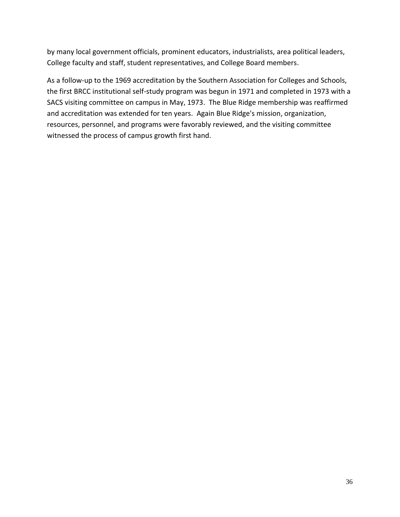by many local government officials, prominent educators, industrialists, area political leaders, College faculty and staff, student representatives, and College Board members.

As a follow-up to the 1969 accreditation by the Southern Association for Colleges and Schools, the first BRCC institutional self-study program was begun in 1971 and completed in 1973 with a SACS visiting committee on campus in May, 1973. The Blue Ridge membership was reaffirmed and accreditation was extended for ten years. Again Blue Ridge's mission, organization, resources, personnel, and programs were favorably reviewed, and the visiting committee witnessed the process of campus growth first hand.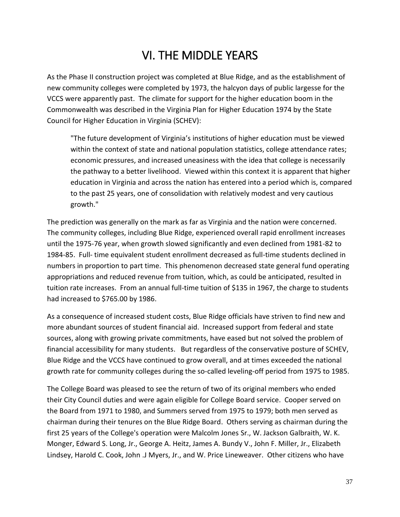# VI. THE MIDDLE YEARS

As the Phase II construction project was completed at Blue Ridge, and as the establishment of new community colleges were completed by 1973, the halcyon days of public largesse for the VCCS were apparently past. The climate for support for the higher education boom in the Commonwealth was described in the Virginia Plan for Higher Education 1974 by the State Council for Higher Education in Virginia (SCHEV):

"The future development of Virginia's institutions of higher education must be viewed within the context of state and national population statistics, college attendance rates; economic pressures, and increased uneasiness with the idea that college is necessarily the pathway to a better livelihood. Viewed within this context it is apparent that higher education in Virginia and across the nation has entered into a period which is, compared to the past 25 years, one of consolidation with relatively modest and very cautious growth."

The prediction was generally on the mark as far as Virginia and the nation were concerned. The community colleges, including Blue Ridge, experienced overall rapid enrollment increases until the 1975-76 year, when growth slowed significantly and even declined from 1981-82 to 1984-85. Full- time equivalent student enrollment decreased as full-time students declined in numbers in proportion to part time. This phenomenon decreased state general fund operating appropriations and reduced revenue from tuition, which, as could be anticipated, resulted in tuition rate increases. From an annual full-time tuition of \$135 in 1967, the charge to students had increased to \$765.00 by 1986.

As a consequence of increased student costs, Blue Ridge officials have striven to find new and more abundant sources of student financial aid. Increased support from federal and state sources, along with growing private commitments, have eased but not solved the problem of financial accessibility for many students. But regardless of the conservative posture of SCHEV, Blue Ridge and the VCCS have continued to grow overall, and at times exceeded the national growth rate for community colleges during the so-called leveling-off period from 1975 to 1985.

The College Board was pleased to see the return of two of its original members who ended their City Council duties and were again eligible for College Board service. Cooper served on the Board from 1971 to 1980, and Summers served from 1975 to 1979; both men served as chairman during their tenures on the Blue Ridge Board. Others serving as chairman during the first 25 years of the College's operation were Malcolm Jones Sr., W. Jackson Galbraith, W. K. Monger, Edward S. Long, Jr., George A. Heitz, James A. Bundy V., John F. Miller, Jr., Elizabeth Lindsey, Harold C. Cook, John .J Myers, Jr., and W. Price Lineweaver. Other citizens who have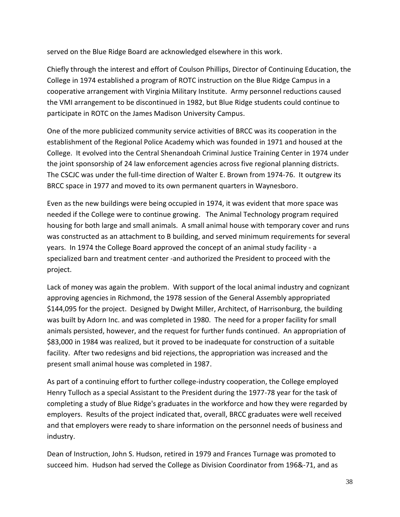served on the Blue Ridge Board are acknowledged elsewhere in this work.

Chiefly through the interest and effort of Coulson Phillips, Director of Continuing Education, the College in 1974 established a program of ROTC instruction on the Blue Ridge Campus in a cooperative arrangement with Virginia Military Institute. Army personnel reductions caused the VMI arrangement to be discontinued in 1982, but Blue Ridge students could continue to participate in ROTC on the James Madison University Campus.

One of the more publicized community service activities of BRCC was its cooperation in the establishment of the Regional Police Academy which was founded in 1971 and housed at the College. It evolved into the Central Shenandoah Criminal Justice Training Center in 1974 under the joint sponsorship of 24 law enforcement agencies across five regional planning districts. The CSCJC was under the full-time direction of Walter E. Brown from 1974-76. It outgrew its BRCC space in 1977 and moved to its own permanent quarters in Waynesboro.

Even as the new buildings were being occupied in 1974, it was evident that more space was needed if the College were to continue growing. The Animal Technology program required housing for both large and small animals. A small animal house with temporary cover and runs was constructed as an attachment to B building, and served minimum requirements for several years. In 1974 the College Board approved the concept of an animal study facility - a specialized barn and treatment center -and authorized the President to proceed with the project.

Lack of money was again the problem. With support of the local animal industry and cognizant approving agencies in Richmond, the 1978 session of the General Assembly appropriated \$144,095 for the project. Designed by Dwight Miller, Architect, of Harrisonburg, the building was built by Adorn Inc. and was completed in 1980. The need for a proper facility for small animals persisted, however, and the request for further funds continued. An appropriation of \$83,000 in 1984 was realized, but it proved to be inadequate for construction of a suitable facility. After two redesigns and bid rejections, the appropriation was increased and the present small animal house was completed in 1987.

As part of a continuing effort to further college-industry cooperation, the College employed Henry Tulloch as a special Assistant to the President during the 1977-78 year for the task of completing a study of Blue Ridge's graduates in the workforce and how they were regarded by employers. Results of the project indicated that, overall, BRCC graduates were well received and that employers were ready to share information on the personnel needs of business and industry.

Dean of Instruction, John S. Hudson, retired in 1979 and Frances Turnage was promoted to succeed him. Hudson had served the College as Division Coordinator from 196&-71, and as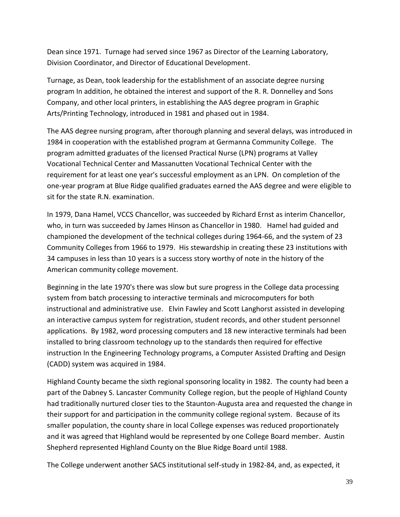Dean since 1971. Turnage had served since 1967 as Director of the Learning Laboratory, Division Coordinator, and Director of Educational Development.

Turnage, as Dean, took leadership for the establishment of an associate degree nursing program In addition, he obtained the interest and support of the R. R. Donnelley and Sons Company, and other local printers, in establishing the AAS degree program in Graphic Arts/Printing Technology, introduced in 1981 and phased out in 1984.

The AAS degree nursing program, after thorough planning and several delays, was introduced in 1984 in cooperation with the established program at Germanna Community College. The program admitted graduates of the licensed Practical Nurse (LPN) programs at Valley Vocational Technical Center and Massanutten Vocational Technical Center with the requirement for at least one year's successful employment as an LPN. On completion of the one-year program at Blue Ridge qualified graduates earned the AAS degree and were eligible to sit for the state R.N. examination.

In 1979, Dana Hamel, VCCS Chancellor, was succeeded by Richard Ernst as interim Chancellor, who, in turn was succeeded by James Hinson as Chancellor in 1980. Hamel had guided and championed the development of the technical colleges during 1964-66, and the system of 23 Community Colleges from 1966 to 1979. His stewardship in creating these 23 institutions with 34 campuses in less than 10 years is a success story worthy of note in the history of the American community college movement.

Beginning in the late 1970's there was slow but sure progress in the College data processing system from batch processing to interactive terminals and microcomputers for both instructional and administrative use. Elvin Fawley and Scott Langhorst assisted in developing an interactive campus system for registration, student records, and other student personnel applications. By 1982, word processing computers and 18 new interactive terminals had been installed to bring classroom technology up to the standards then required for effective instruction In the Engineering Technology programs, a Computer Assisted Drafting and Design (CADD) system was acquired in 1984.

Highland County became the sixth regional sponsoring locality in 1982. The county had been a part of the Dabney S. Lancaster Community College region, but the people of Highland County had traditionally nurtured closer ties to the Staunton-Augusta area and requested the change in their support for and participation in the community college regional system. Because of its smaller population, the county share in local College expenses was reduced proportionately and it was agreed that Highland would be represented by one College Board member. Austin Shepherd represented Highland County on the Blue Ridge Board until 1988.

The College underwent another SACS institutional self-study in 1982-84, and, as expected, it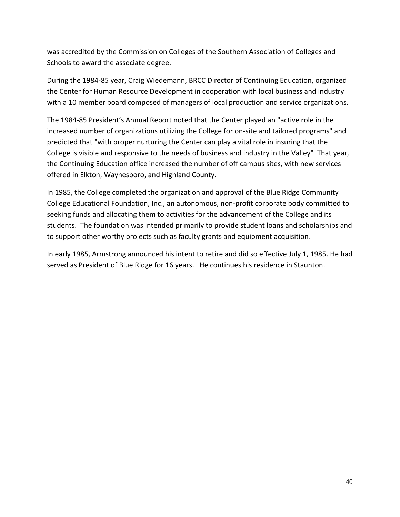was accredited by the Commission on Colleges of the Southern Association of Colleges and Schools to award the associate degree.

During the 1984-85 year, Craig Wiedemann, BRCC Director of Continuing Education, organized the Center for Human Resource Development in cooperation with local business and industry with a 10 member board composed of managers of local production and service organizations.

The 1984-85 President's Annual Report noted that the Center played an "active role in the increased number of organizations utilizing the College for on-site and tailored programs" and predicted that "with proper nurturing the Center can play a vital role in insuring that the College is visible and responsive to the needs of business and industry in the Valley" That year, the Continuing Education office increased the number of off campus sites, with new services offered in Elkton, Waynesboro, and Highland County.

In 1985, the College completed the organization and approval of the Blue Ridge Community College Educational Foundation, Inc., an autonomous, non-profit corporate body committed to seeking funds and allocating them to activities for the advancement of the College and its students. The foundation was intended primarily to provide student loans and scholarships and to support other worthy projects such as faculty grants and equipment acquisition.

In early 1985, Armstrong announced his intent to retire and did so effective July 1, 1985. He had served as President of Blue Ridge for 16 years. He continues his residence in Staunton.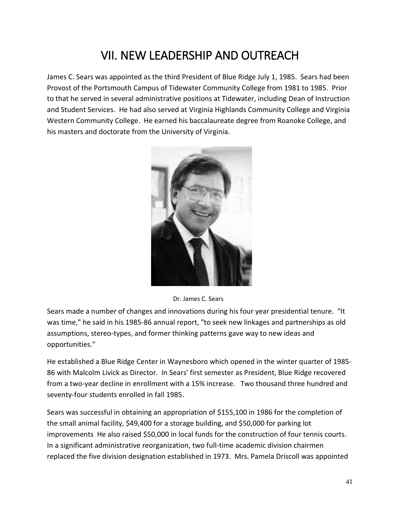### VII. NEW LEADERSHIP AND OUTREACH

James C. Sears was appointed as the third President of Blue Ridge July 1, 1985. Sears had been Provost of the Portsmouth Campus of Tidewater Community College from 1981 to 1985. Prior to that he served in several administrative positions at Tidewater, including Dean of Instruction and Student Services. He had also served at Virginia Highlands Community College and Virginia Western Community College. He earned his baccalaureate degree from Roanoke College, and his masters and doctorate from the University of Virginia.



Dr. James C. Sears

Sears made a number of changes and innovations during his four year presidential tenure. "It was time," he said in his 1985-86 annual report, "to seek new linkages and partnerships as old assumptions, stereo-types, and former thinking patterns gave way to new ideas and opportunities."

He established a Blue Ridge Center in Waynesboro which opened in the winter quarter of 1985- 86 with Malcolm Livick as Director. In Sears' first semester as President, Blue Ridge recovered from a two-year decline in enrollment with a 15% increase. Two thousand three hundred and seventy-four students enrolled in fall 1985.

Sears was successful in obtaining an appropriation of \$155,100 in 1986 for the completion of the small animal facility, \$49,400 for a storage building, and \$50,000 for parking lot improvements He also raised \$50,000 in local funds for the construction of four tennis courts. In a significant administrative reorganization, two full-time academic division chairmen replaced the five division designation established in 1973. Mrs. Pamela Driscoll was appointed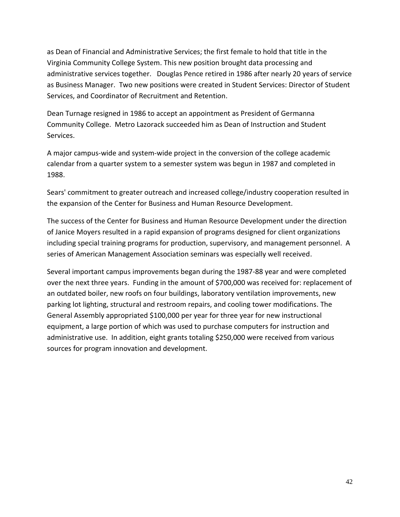as Dean of Financial and Administrative Services; the first female to hold that title in the Virginia Community College System. This new position brought data processing and administrative services together. Douglas Pence retired in 1986 after nearly 20 years of service as Business Manager. Two new positions were created in Student Services: Director of Student Services, and Coordinator of Recruitment and Retention.

Dean Turnage resigned in 1986 to accept an appointment as President of Germanna Community College. Metro Lazorack succeeded him as Dean of Instruction and Student Services.

A major campus-wide and system-wide project in the conversion of the college academic calendar from a quarter system to a semester system was begun in 1987 and completed in 1988.

Sears' commitment to greater outreach and increased college/industry cooperation resulted in the expansion of the Center for Business and Human Resource Development.

The success of the Center for Business and Human Resource Development under the direction of Janice Moyers resulted in a rapid expansion of programs designed for client organizations including special training programs for production, supervisory, and management personnel. A series of American Management Association seminars was especially well received.

Several important campus improvements began during the 1987-88 year and were completed over the next three years. Funding in the amount of \$700,000 was received for: replacement of an outdated boiler, new roofs on four buildings, laboratory ventilation improvements, new parking lot lighting, structural and restroom repairs, and cooling tower modifications. The General Assembly appropriated \$100,000 per year for three year for new instructional equipment, a large portion of which was used to purchase computers for instruction and administrative use. In addition, eight grants totaling \$250,000 were received from various sources for program innovation and development.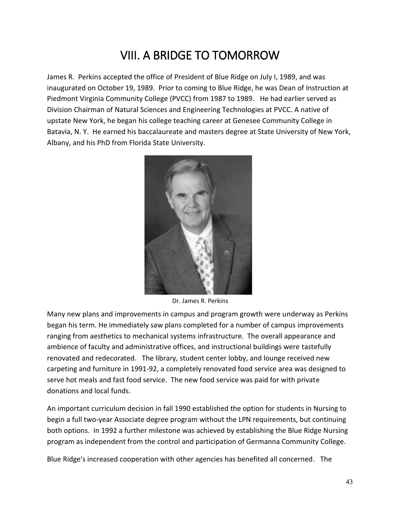## VIII. A BRIDGE TO TOMORROW

James R. Perkins accepted the office of President of Blue Ridge on July I, 1989, and was inaugurated on October 19, 1989. Prior to coming to Blue Ridge, he was Dean of Instruction at Piedmont Virginia Community College (PVCC) from 1987 to 1989. He had earlier served as Division Chairman of Natural Sciences and Engineering Technologies at PVCC. A native of upstate New York, he began his college teaching career at Genesee Community College in Batavia, N. Y. He earned his baccalaureate and masters degree at State University of New York, Albany, and his PhD from Florida State University.



Dr. James R. Perkins

Many new plans and improvements in campus and program growth were underway as Perkins began his term. He immediately saw plans completed for a number of campus improvements ranging from aesthetics to mechanical systems infrastructure. The overall appearance and ambience of faculty and administrative offices, and instructional buildings were tastefully renovated and redecorated. The library, student center lobby, and lounge received new carpeting and furniture in 1991-92, a completely renovated food service area was designed to serve hot meals and fast food service. The new food service was paid for with private donations and local funds.

An important curriculum decision in fall 1990 established the option for students in Nursing to begin a full two-year Associate degree program without the LPN requirements, but continuing both options. In 1992 a further milestone was achieved by establishing the Blue Ridge Nursing program as independent from the control and participation of Germanna Community College.

Blue Ridge's increased cooperation with other agencies has benefited all concerned. The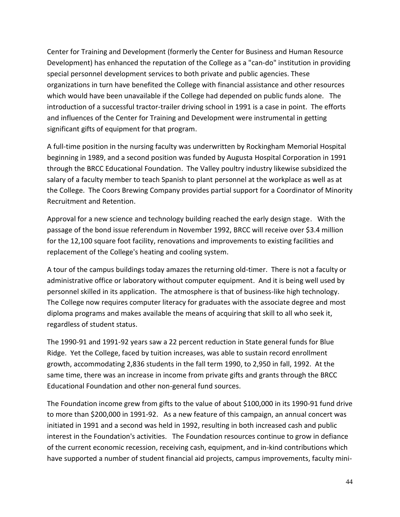Center for Training and Development (formerly the Center for Business and Human Resource Development) has enhanced the reputation of the College as a "can-do" institution in providing special personnel development services to both private and public agencies. These organizations in turn have benefited the College with financial assistance and other resources which would have been unavailable if the College had depended on public funds alone. The introduction of a successful tractor-trailer driving school in 1991 is a case in point. The efforts and influences of the Center for Training and Development were instrumental in getting significant gifts of equipment for that program.

A full-time position in the nursing faculty was underwritten by Rockingham Memorial Hospital beginning in 1989, and a second position was funded by Augusta Hospital Corporation in 1991 through the BRCC Educational Foundation. The Valley poultry industry likewise subsidized the salary of a faculty member to teach Spanish to plant personnel at the workplace as well as at the College. The Coors Brewing Company provides partial support for a Coordinator of Minority Recruitment and Retention.

Approval for a new science and technology building reached the early design stage. With the passage of the bond issue referendum in November 1992, BRCC will receive over \$3.4 million for the 12,100 square foot facility, renovations and improvements to existing facilities and replacement of the College's heating and cooling system.

A tour of the campus buildings today amazes the returning old-timer. There is not a faculty or administrative office or laboratory without computer equipment. And it is being well used by personnel skilled in its application. The atmosphere is that of business-like high technology. The College now requires computer literacy for graduates with the associate degree and most diploma programs and makes available the means of acquiring that skill to all who seek it, regardless of student status.

The 1990-91 and 1991-92 years saw a 22 percent reduction in State general funds for Blue Ridge. Yet the College, faced by tuition increases, was able to sustain record enrollment growth, accommodating 2,836 students in the fall term 1990, to 2,950 in fall, 1992. At the same time, there was an increase in income from private gifts and grants through the BRCC Educational Foundation and other non-general fund sources.

The Foundation income grew from gifts to the value of about \$100,000 in its 1990-91 fund drive to more than \$200,000 in 1991-92. As a new feature of this campaign, an annual concert was initiated in 1991 and a second was held in 1992, resulting in both increased cash and public interest in the Foundation's activities. The Foundation resources continue to grow in defiance of the current economic recession, receiving cash, equipment, and in-kind contributions which have supported a number of student financial aid projects, campus improvements, faculty mini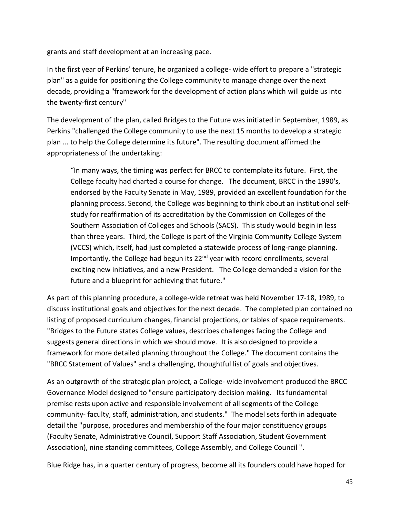grants and staff development at an increasing pace.

In the first year of Perkins' tenure, he organized a college- wide effort to prepare a "strategic plan" as a guide for positioning the College community to manage change over the next decade, providing a "framework for the development of action plans which will guide us into the twenty-first century"

The development of the plan, called Bridges to the Future was initiated in September, 1989, as Perkins "challenged the College community to use the next 15 months to develop a strategic plan ... to help the College determine its future". The resulting document affirmed the appropriateness of the undertaking:

"In many ways, the timing was perfect for BRCC to contemplate its future. First, the College faculty had charted a course for change. The document, BRCC in the 1990's, endorsed by the Faculty Senate in May, 1989, provided an excellent foundation for the planning process. Second, the College was beginning to think about an institutional selfstudy for reaffirmation of its accreditation by the Commission on Colleges of the Southern Association of Colleges and Schools (SACS). This study would begin in less than three years. Third, the College is part of the Virginia Community College System (VCCS) which, itself, had just completed a statewide process of long-range planning. Importantly, the College had begun its 22<sup>nd</sup> year with record enrollments, several exciting new initiatives, and a new President. The College demanded a vision for the future and a blueprint for achieving that future."

As part of this planning procedure, a college-wide retreat was held November 17-18, 1989, to discuss institutional goals and objectives for the next decade. The completed plan contained no listing of proposed curriculum changes, financial projections, or tables of space requirements. "Bridges to the Future states College values, describes challenges facing the College and suggests general directions in which we should move. It is also designed to provide a framework for more detailed planning throughout the College." The document contains the "BRCC Statement of Values" and a challenging, thoughtful list of goals and objectives.

As an outgrowth of the strategic plan project, a College- wide involvement produced the BRCC Governance Model designed to "ensure participatory decision making. Its fundamental premise rests upon active and responsible involvement of all segments of the College community- faculty, staff, administration, and students." The model sets forth in adequate detail the "purpose, procedures and membership of the four major constituency groups (Faculty Senate, Administrative Council, Support Staff Association, Student Government Association), nine standing committees, College Assembly, and College Council ".

Blue Ridge has, in a quarter century of progress, become all its founders could have hoped for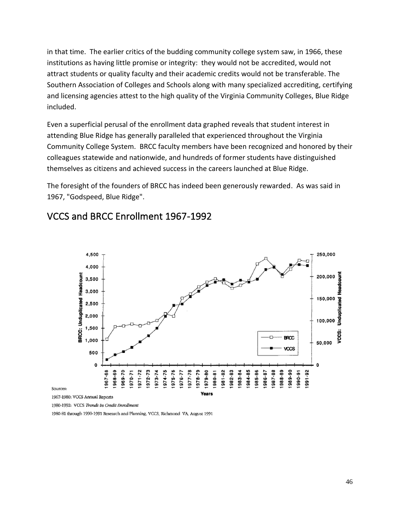in that time. The earlier critics of the budding community college system saw, in 1966, these institutions as having little promise or integrity: they would not be accredited, would not attract students or quality faculty and their academic credits would not be transferable. The Southern Association of Colleges and Schools along with many specialized accrediting, certifying and licensing agencies attest to the high quality of the Virginia Community Colleges, Blue Ridge included.

Even a superficial perusal of the enrollment data graphed reveals that student interest in attending Blue Ridge has generally paralleled that experienced throughout the Virginia Community College System. BRCC faculty members have been recognized and honored by their colleagues statewide and nationwide, and hundreds of former students have distinguished themselves as citizens and achieved success in the careers launched at Blue Ridge.

The foresight of the founders of BRCC has indeed been generously rewarded. As was said in 1967, "Godspeed, Blue Ridge".



#### VCCS and BRCC Enrollment 1967-1992

Sources:

1967-1980: VCCS Annual Reports

1980-1992: VCCS Trends in Credit Enrollment

1980-81 through 1990-1991 Research and Planning, VCCS, Richmond VA, August 1991